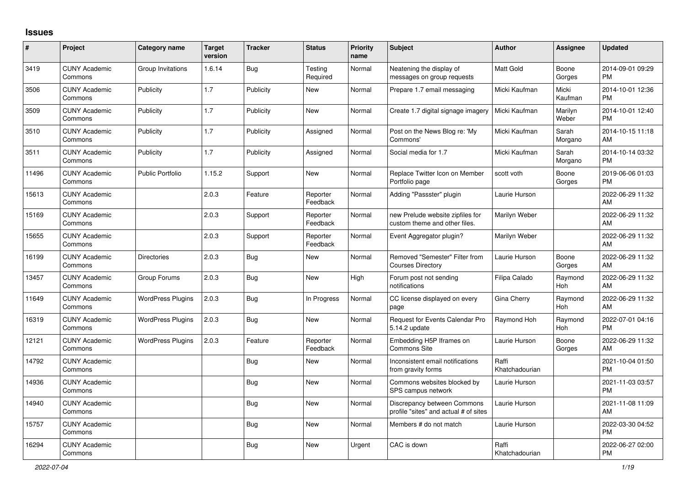## **Issues**

| $\sharp$ | Project                         | Category name            | <b>Target</b><br>version | <b>Tracker</b> | <b>Status</b>        | <b>Priority</b><br>name | <b>Subject</b>                                                       | <b>Author</b>           | Assignee         | <b>Updated</b>                |
|----------|---------------------------------|--------------------------|--------------------------|----------------|----------------------|-------------------------|----------------------------------------------------------------------|-------------------------|------------------|-------------------------------|
| 3419     | <b>CUNY Academic</b><br>Commons | Group Invitations        | 1.6.14                   | Bug            | Testing<br>Required  | Normal                  | Neatening the display of<br>messages on group requests               | <b>Matt Gold</b>        | Boone<br>Gorges  | 2014-09-01 09:29<br><b>PM</b> |
| 3506     | <b>CUNY Academic</b><br>Commons | Publicity                | 1.7                      | Publicity      | New                  | Normal                  | Prepare 1.7 email messaging                                          | Micki Kaufman           | Micki<br>Kaufman | 2014-10-01 12:36<br><b>PM</b> |
| 3509     | <b>CUNY Academic</b><br>Commons | Publicity                | 1.7                      | Publicity      | New                  | Normal                  | Create 1.7 digital signage imagery                                   | Micki Kaufman           | Marilyn<br>Weber | 2014-10-01 12:40<br><b>PM</b> |
| 3510     | <b>CUNY Academic</b><br>Commons | Publicity                | 1.7                      | Publicity      | Assigned             | Normal                  | Post on the News Blog re: 'My<br>Commons'                            | Micki Kaufman           | Sarah<br>Morgano | 2014-10-15 11:18<br>AM        |
| 3511     | <b>CUNY Academic</b><br>Commons | Publicity                | 1.7                      | Publicity      | Assigned             | Normal                  | Social media for 1.7                                                 | Micki Kaufman           | Sarah<br>Morgano | 2014-10-14 03:32<br><b>PM</b> |
| 11496    | <b>CUNY Academic</b><br>Commons | <b>Public Portfolio</b>  | 1.15.2                   | Support        | New                  | Normal                  | Replace Twitter Icon on Member<br>Portfolio page                     | scott voth              | Boone<br>Gorges  | 2019-06-06 01:03<br><b>PM</b> |
| 15613    | <b>CUNY Academic</b><br>Commons |                          | 2.0.3                    | Feature        | Reporter<br>Feedback | Normal                  | Adding "Passster" plugin                                             | Laurie Hurson           |                  | 2022-06-29 11:32<br>AM        |
| 15169    | <b>CUNY Academic</b><br>Commons |                          | 2.0.3                    | Support        | Reporter<br>Feedback | Normal                  | new Prelude website zipfiles for<br>custom theme and other files.    | Marilyn Weber           |                  | 2022-06-29 11:32<br>AM        |
| 15655    | <b>CUNY Academic</b><br>Commons |                          | 2.0.3                    | Support        | Reporter<br>Feedback | Normal                  | Event Aggregator plugin?                                             | Marilyn Weber           |                  | 2022-06-29 11:32<br>AM        |
| 16199    | <b>CUNY Academic</b><br>Commons | <b>Directories</b>       | 2.0.3                    | Bug            | New                  | Normal                  | Removed "Semester" Filter from<br><b>Courses Directory</b>           | Laurie Hurson           | Boone<br>Gorges  | 2022-06-29 11:32<br>AM        |
| 13457    | <b>CUNY Academic</b><br>Commons | Group Forums             | 2.0.3                    | Bug            | New                  | High                    | Forum post not sending<br>notifications                              | Filipa Calado           | Raymond<br>Hoh   | 2022-06-29 11:32<br>AM        |
| 11649    | <b>CUNY Academic</b><br>Commons | <b>WordPress Plugins</b> | 2.0.3                    | Bug            | In Progress          | Normal                  | CC license displayed on every<br>page                                | Gina Cherry             | Raymond<br>Hoh   | 2022-06-29 11:32<br>AM        |
| 16319    | <b>CUNY Academic</b><br>Commons | <b>WordPress Plugins</b> | 2.0.3                    | <b>Bug</b>     | New                  | Normal                  | Request for Events Calendar Pro<br>5.14.2 update                     | Raymond Hoh             | Raymond<br>Hoh   | 2022-07-01 04:16<br><b>PM</b> |
| 12121    | <b>CUNY Academic</b><br>Commons | <b>WordPress Plugins</b> | 2.0.3                    | Feature        | Reporter<br>Feedback | Normal                  | Embedding H5P Iframes on<br><b>Commons Site</b>                      | Laurie Hurson           | Boone<br>Gorges  | 2022-06-29 11:32<br>AM        |
| 14792    | <b>CUNY Academic</b><br>Commons |                          |                          | <b>Bug</b>     | New                  | Normal                  | Inconsistent email notifications<br>from gravity forms               | Raffi<br>Khatchadourian |                  | 2021-10-04 01:50<br><b>PM</b> |
| 14936    | <b>CUNY Academic</b><br>Commons |                          |                          | Bug            | New                  | Normal                  | Commons websites blocked by<br>SPS campus network                    | Laurie Hurson           |                  | 2021-11-03 03:57<br><b>PM</b> |
| 14940    | <b>CUNY Academic</b><br>Commons |                          |                          | Bug            | New                  | Normal                  | Discrepancy between Commons<br>profile "sites" and actual # of sites | Laurie Hurson           |                  | 2021-11-08 11:09<br>AM        |
| 15757    | <b>CUNY Academic</b><br>Commons |                          |                          | Bug            | New                  | Normal                  | Members # do not match                                               | Laurie Hurson           |                  | 2022-03-30 04:52<br><b>PM</b> |
| 16294    | <b>CUNY Academic</b><br>Commons |                          |                          | <b>Bug</b>     | <b>New</b>           | Urgent                  | CAC is down                                                          | Raffi<br>Khatchadourian |                  | 2022-06-27 02:00<br><b>PM</b> |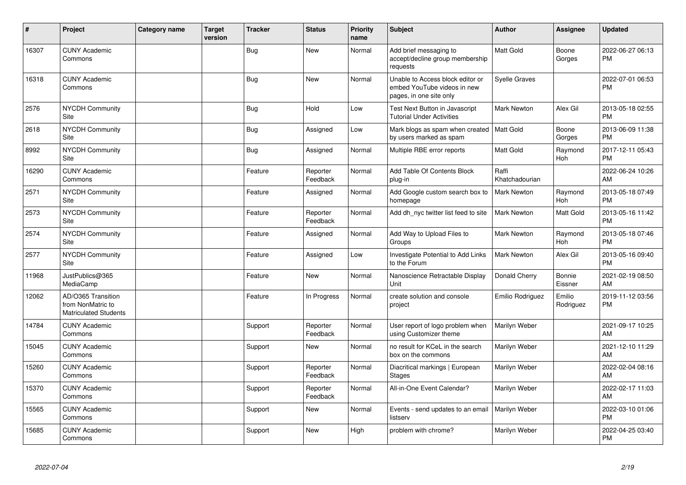| ∦     | Project                                                                 | Category name | <b>Target</b><br>version | <b>Tracker</b> | <b>Status</b>        | <b>Priority</b><br>name | <b>Subject</b>                                                                             | <b>Author</b>           | <b>Assignee</b>       | <b>Updated</b>                |
|-------|-------------------------------------------------------------------------|---------------|--------------------------|----------------|----------------------|-------------------------|--------------------------------------------------------------------------------------------|-------------------------|-----------------------|-------------------------------|
| 16307 | <b>CUNY Academic</b><br>Commons                                         |               |                          | <b>Bug</b>     | New                  | Normal                  | Add brief messaging to<br>accept/decline group membership<br>requests                      | Matt Gold               | Boone<br>Gorges       | 2022-06-27 06:13<br><b>PM</b> |
| 16318 | <b>CUNY Academic</b><br>Commons                                         |               |                          | Bug            | New                  | Normal                  | Unable to Access block editor or<br>embed YouTube videos in new<br>pages, in one site only | Syelle Graves           |                       | 2022-07-01 06:53<br><b>PM</b> |
| 2576  | <b>NYCDH Community</b><br>Site                                          |               |                          | <b>Bug</b>     | Hold                 | Low                     | Test Next Button in Javascript<br><b>Tutorial Under Activities</b>                         | <b>Mark Newton</b>      | Alex Gil              | 2013-05-18 02:55<br><b>PM</b> |
| 2618  | <b>NYCDH Community</b><br>Site                                          |               |                          | <b>Bug</b>     | Assigned             | Low                     | Mark blogs as spam when created<br>by users marked as spam                                 | Matt Gold               | Boone<br>Gorges       | 2013-06-09 11:38<br><b>PM</b> |
| 8992  | NYCDH Community<br>Site                                                 |               |                          | <b>Bug</b>     | Assigned             | Normal                  | Multiple RBE error reports                                                                 | <b>Matt Gold</b>        | Raymond<br>Hoh        | 2017-12-11 05:43<br><b>PM</b> |
| 16290 | <b>CUNY Academic</b><br>Commons                                         |               |                          | Feature        | Reporter<br>Feedback | Normal                  | Add Table Of Contents Block<br>plug-in                                                     | Raffi<br>Khatchadourian |                       | 2022-06-24 10:26<br>AM        |
| 2571  | <b>NYCDH Community</b><br>Site                                          |               |                          | Feature        | Assigned             | Normal                  | Add Google custom search box to<br>homepage                                                | Mark Newton             | Raymond<br><b>Hoh</b> | 2013-05-18 07:49<br><b>PM</b> |
| 2573  | <b>NYCDH Community</b><br>Site                                          |               |                          | Feature        | Reporter<br>Feedback | Normal                  | Add dh_nyc twitter list feed to site                                                       | <b>Mark Newton</b>      | Matt Gold             | 2013-05-16 11:42<br><b>PM</b> |
| 2574  | NYCDH Community<br>Site                                                 |               |                          | Feature        | Assigned             | Normal                  | Add Way to Upload Files to<br>Groups                                                       | Mark Newton             | Raymond<br>Hoh        | 2013-05-18 07:46<br><b>PM</b> |
| 2577  | NYCDH Community<br>Site                                                 |               |                          | Feature        | Assigned             | Low                     | Investigate Potential to Add Links<br>to the Forum                                         | Mark Newton             | Alex Gil              | 2013-05-16 09:40<br><b>PM</b> |
| 11968 | JustPublics@365<br>MediaCamp                                            |               |                          | Feature        | New                  | Normal                  | Nanoscience Retractable Display<br>Unit                                                    | Donald Cherry           | Bonnie<br>Eissner     | 2021-02-19 08:50<br>AM        |
| 12062 | AD/O365 Transition<br>from NonMatric to<br><b>Matriculated Students</b> |               |                          | Feature        | In Progress          | Normal                  | create solution and console<br>project                                                     | Emilio Rodriguez        | Emilio<br>Rodriguez   | 2019-11-12 03:56<br><b>PM</b> |
| 14784 | <b>CUNY Academic</b><br>Commons                                         |               |                          | Support        | Reporter<br>Feedback | Normal                  | User report of logo problem when<br>using Customizer theme                                 | Marilyn Weber           |                       | 2021-09-17 10:25<br>AM        |
| 15045 | <b>CUNY Academic</b><br>Commons                                         |               |                          | Support        | New                  | Normal                  | no result for KCeL in the search<br>box on the commons                                     | Marilyn Weber           |                       | 2021-12-10 11:29<br>AM        |
| 15260 | <b>CUNY Academic</b><br>Commons                                         |               |                          | Support        | Reporter<br>Feedback | Normal                  | Diacritical markings   European<br><b>Stages</b>                                           | Marilyn Weber           |                       | 2022-02-04 08:16<br>AM        |
| 15370 | <b>CUNY Academic</b><br>Commons                                         |               |                          | Support        | Reporter<br>Feedback | Normal                  | All-in-One Event Calendar?                                                                 | Marilyn Weber           |                       | 2022-02-17 11:03<br>AM        |
| 15565 | <b>CUNY Academic</b><br>Commons                                         |               |                          | Support        | New                  | Normal                  | Events - send updates to an email<br>listserv                                              | Marilyn Weber           |                       | 2022-03-10 01:06<br><b>PM</b> |
| 15685 | <b>CUNY Academic</b><br>Commons                                         |               |                          | Support        | <b>New</b>           | High                    | problem with chrome?                                                                       | Marilyn Weber           |                       | 2022-04-25 03:40<br>PM        |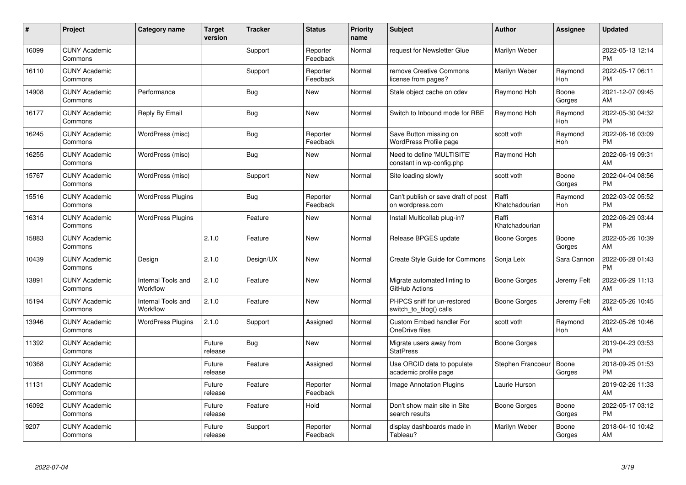| #     | Project                         | <b>Category name</b>           | <b>Target</b><br>version | <b>Tracker</b> | <b>Status</b>        | <b>Priority</b><br>name | <b>Subject</b>                                          | <b>Author</b>           | <b>Assignee</b> | <b>Updated</b>                |
|-------|---------------------------------|--------------------------------|--------------------------|----------------|----------------------|-------------------------|---------------------------------------------------------|-------------------------|-----------------|-------------------------------|
| 16099 | <b>CUNY Academic</b><br>Commons |                                |                          | Support        | Reporter<br>Feedback | Normal                  | request for Newsletter Glue                             | Marilyn Weber           |                 | 2022-05-13 12:14<br><b>PM</b> |
| 16110 | <b>CUNY Academic</b><br>Commons |                                |                          | Support        | Reporter<br>Feedback | Normal                  | remove Creative Commons<br>license from pages?          | Marilyn Weber           | Raymond<br>Hoh  | 2022-05-17 06:11<br><b>PM</b> |
| 14908 | <b>CUNY Academic</b><br>Commons | Performance                    |                          | <b>Bug</b>     | <b>New</b>           | Normal                  | Stale object cache on cdev                              | Raymond Hoh             | Boone<br>Gorges | 2021-12-07 09:45<br>AM        |
| 16177 | <b>CUNY Academic</b><br>Commons | Reply By Email                 |                          | Bug            | <b>New</b>           | Normal                  | Switch to Inbound mode for RBE                          | Raymond Hoh             | Raymond<br>Hoh  | 2022-05-30 04:32<br><b>PM</b> |
| 16245 | <b>CUNY Academic</b><br>Commons | WordPress (misc)               |                          | Bug            | Reporter<br>Feedback | Normal                  | Save Button missing on<br>WordPress Profile page        | scott voth              | Raymond<br>Hoh  | 2022-06-16 03:09<br><b>PM</b> |
| 16255 | <b>CUNY Academic</b><br>Commons | WordPress (misc)               |                          | Bug            | <b>New</b>           | Normal                  | Need to define 'MULTISITE'<br>constant in wp-config.php | Raymond Hoh             |                 | 2022-06-19 09:31<br>AM        |
| 15767 | <b>CUNY Academic</b><br>Commons | WordPress (misc)               |                          | Support        | New                  | Normal                  | Site loading slowly                                     | scott voth              | Boone<br>Gorges | 2022-04-04 08:56<br><b>PM</b> |
| 15516 | <b>CUNY Academic</b><br>Commons | <b>WordPress Plugins</b>       |                          | Bug            | Reporter<br>Feedback | Normal                  | Can't publish or save draft of post<br>on wordpress.com | Raffi<br>Khatchadourian | Raymond<br>Hoh  | 2022-03-02 05:52<br><b>PM</b> |
| 16314 | <b>CUNY Academic</b><br>Commons | <b>WordPress Plugins</b>       |                          | Feature        | New                  | Normal                  | Install Multicollab plug-in?                            | Raffi<br>Khatchadourian |                 | 2022-06-29 03:44<br><b>PM</b> |
| 15883 | <b>CUNY Academic</b><br>Commons |                                | 2.1.0                    | Feature        | New                  | Normal                  | Release BPGES update                                    | Boone Gorges            | Boone<br>Gorges | 2022-05-26 10:39<br>AM        |
| 10439 | <b>CUNY Academic</b><br>Commons | Design                         | 2.1.0                    | Design/UX      | New                  | Normal                  | Create Style Guide for Commons                          | Sonja Leix              | Sara Cannon     | 2022-06-28 01:43<br><b>PM</b> |
| 13891 | <b>CUNY Academic</b><br>Commons | Internal Tools and<br>Workflow | 2.1.0                    | Feature        | New                  | Normal                  | Migrate automated linting to<br>GitHub Actions          | Boone Gorges            | Jeremy Felt     | 2022-06-29 11:13<br>AM        |
| 15194 | <b>CUNY Academic</b><br>Commons | Internal Tools and<br>Workflow | 2.1.0                    | Feature        | <b>New</b>           | Normal                  | PHPCS sniff for un-restored<br>switch_to_blog() calls   | Boone Gorges            | Jeremy Felt     | 2022-05-26 10:45<br>AM        |
| 13946 | <b>CUNY Academic</b><br>Commons | <b>WordPress Plugins</b>       | 2.1.0                    | Support        | Assigned             | Normal                  | <b>Custom Embed handler For</b><br>OneDrive files       | scott voth              | Raymond<br>Hoh  | 2022-05-26 10:46<br>AM        |
| 11392 | <b>CUNY Academic</b><br>Commons |                                | Future<br>release        | Bug            | <b>New</b>           | Normal                  | Migrate users away from<br><b>StatPress</b>             | Boone Gorges            |                 | 2019-04-23 03:53<br><b>PM</b> |
| 10368 | <b>CUNY Academic</b><br>Commons |                                | Future<br>release        | Feature        | Assigned             | Normal                  | Use ORCID data to populate<br>academic profile page     | Stephen Francoeur       | Boone<br>Gorges | 2018-09-25 01:53<br><b>PM</b> |
| 11131 | <b>CUNY Academic</b><br>Commons |                                | Future<br>release        | Feature        | Reporter<br>Feedback | Normal                  | Image Annotation Plugins                                | Laurie Hurson           |                 | 2019-02-26 11:33<br>AM        |
| 16092 | <b>CUNY Academic</b><br>Commons |                                | Future<br>release        | Feature        | Hold                 | Normal                  | Don't show main site in Site<br>search results          | Boone Gorges            | Boone<br>Gorges | 2022-05-17 03:12<br><b>PM</b> |
| 9207  | <b>CUNY Academic</b><br>Commons |                                | Future<br>release        | Support        | Reporter<br>Feedback | Normal                  | display dashboards made in<br>Tableau?                  | Marilyn Weber           | Boone<br>Gorges | 2018-04-10 10:42<br>AM        |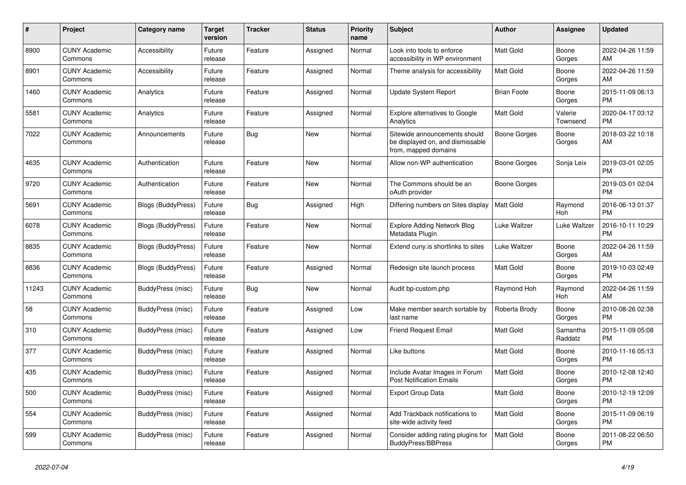| #     | <b>Project</b>                  | Category name             | Target<br>version | <b>Tracker</b> | <b>Status</b> | <b>Priority</b><br>name | <b>Subject</b>                                                                            | <b>Author</b>      | Assignee            | <b>Updated</b>                |
|-------|---------------------------------|---------------------------|-------------------|----------------|---------------|-------------------------|-------------------------------------------------------------------------------------------|--------------------|---------------------|-------------------------------|
| 8900  | <b>CUNY Academic</b><br>Commons | Accessibility             | Future<br>release | Feature        | Assigned      | Normal                  | Look into tools to enforce<br>accessibility in WP environment                             | Matt Gold          | Boone<br>Gorges     | 2022-04-26 11:59<br>AM        |
| 8901  | <b>CUNY Academic</b><br>Commons | Accessibility             | Future<br>release | Feature        | Assigned      | Normal                  | Theme analysis for accessibility                                                          | Matt Gold          | Boone<br>Gorges     | 2022-04-26 11:59<br>AM        |
| 1460  | <b>CUNY Academic</b><br>Commons | Analytics                 | Future<br>release | Feature        | Assigned      | Normal                  | Update System Report                                                                      | <b>Brian Foote</b> | Boone<br>Gorges     | 2015-11-09 06:13<br><b>PM</b> |
| 5581  | <b>CUNY Academic</b><br>Commons | Analytics                 | Future<br>release | Feature        | Assigned      | Normal                  | <b>Explore alternatives to Google</b><br>Analytics                                        | Matt Gold          | Valerie<br>Townsend | 2020-04-17 03:12<br><b>PM</b> |
| 7022  | <b>CUNY Academic</b><br>Commons | Announcements             | Future<br>release | Bug            | New           | Normal                  | Sitewide announcements should<br>be displayed on, and dismissable<br>from, mapped domains | Boone Gorges       | Boone<br>Gorges     | 2018-03-22 10:18<br>AM        |
| 4635  | <b>CUNY Academic</b><br>Commons | Authentication            | Future<br>release | Feature        | New           | Normal                  | Allow non-WP authentication                                                               | Boone Gorges       | Sonja Leix          | 2019-03-01 02:05<br><b>PM</b> |
| 9720  | <b>CUNY Academic</b><br>Commons | Authentication            | Future<br>release | Feature        | <b>New</b>    | Normal                  | The Commons should be an<br>oAuth provider                                                | Boone Gorges       |                     | 2019-03-01 02:04<br><b>PM</b> |
| 5691  | <b>CUNY Academic</b><br>Commons | <b>Blogs (BuddyPress)</b> | Future<br>release | Bug            | Assigned      | High                    | Differing numbers on Sites display                                                        | Matt Gold          | Raymond<br>Hoh      | 2016-06-13 01:37<br><b>PM</b> |
| 6078  | <b>CUNY Academic</b><br>Commons | Blogs (BuddyPress)        | Future<br>release | Feature        | New           | Normal                  | <b>Explore Adding Network Blog</b><br>Metadata Plugin                                     | Luke Waltzer       | Luke Waltzer        | 2016-10-11 10:29<br><b>PM</b> |
| 8835  | <b>CUNY Academic</b><br>Commons | Blogs (BuddyPress)        | Future<br>release | Feature        | <b>New</b>    | Normal                  | Extend cuny is shortlinks to sites                                                        | Luke Waltzer       | Boone<br>Gorges     | 2022-04-26 11:59<br>AM        |
| 8836  | <b>CUNY Academic</b><br>Commons | <b>Blogs (BuddyPress)</b> | Future<br>release | Feature        | Assigned      | Normal                  | Redesign site launch process                                                              | <b>Matt Gold</b>   | Boone<br>Gorges     | 2019-10-03 02:49<br><b>PM</b> |
| 11243 | <b>CUNY Academic</b><br>Commons | BuddyPress (misc)         | Future<br>release | Bug            | New           | Normal                  | Audit bp-custom.php                                                                       | Raymond Hoh        | Raymond<br>Hoh      | 2022-04-26 11:59<br><b>AM</b> |
| 58    | <b>CUNY Academic</b><br>Commons | BuddyPress (misc)         | Future<br>release | Feature        | Assigned      | Low                     | Make member search sortable by<br>last name                                               | Roberta Brody      | Boone<br>Gorges     | 2010-08-26 02:38<br><b>PM</b> |
| 310   | <b>CUNY Academic</b><br>Commons | BuddyPress (misc)         | Future<br>release | Feature        | Assigned      | Low                     | <b>Friend Request Email</b>                                                               | Matt Gold          | Samantha<br>Raddatz | 2015-11-09 05:08<br><b>PM</b> |
| 377   | <b>CUNY Academic</b><br>Commons | BuddyPress (misc)         | Future<br>release | Feature        | Assigned      | Normal                  | Like buttons                                                                              | Matt Gold          | Boone<br>Gorges     | 2010-11-16 05:13<br><b>PM</b> |
| 435   | <b>CUNY Academic</b><br>Commons | BuddyPress (misc)         | Future<br>release | Feature        | Assigned      | Normal                  | Include Avatar Images in Forum<br><b>Post Notification Emails</b>                         | <b>Matt Gold</b>   | Boone<br>Gorges     | 2010-12-08 12:40<br><b>PM</b> |
| 500   | <b>CUNY Academic</b><br>Commons | <b>BuddyPress (misc)</b>  | Future<br>release | Feature        | Assigned      | Normal                  | Export Group Data                                                                         | <b>Matt Gold</b>   | Boone<br>Gorges     | 2010-12-19 12:09<br><b>PM</b> |
| 554   | <b>CUNY Academic</b><br>Commons | BuddyPress (misc)         | Future<br>release | Feature        | Assigned      | Normal                  | Add Trackback notifications to<br>site-wide activity feed                                 | Matt Gold          | Boone<br>Gorges     | 2015-11-09 06:19<br><b>PM</b> |
| 599   | <b>CUNY Academic</b><br>Commons | BuddyPress (misc)         | Future<br>release | Feature        | Assigned      | Normal                  | Consider adding rating plugins for<br>BuddyPress/BBPress                                  | <b>Matt Gold</b>   | Boone<br>Gorges     | 2011-08-22 06:50<br><b>PM</b> |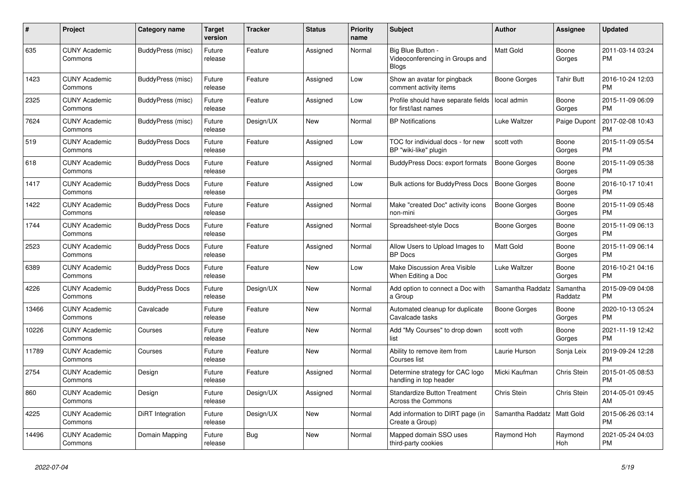| #     | Project                         | <b>Category name</b>   | <b>Target</b><br>version | <b>Tracker</b> | <b>Status</b> | <b>Priority</b><br>name | <b>Subject</b>                                                       | <b>Author</b>    | <b>Assignee</b>     | <b>Updated</b>                |
|-------|---------------------------------|------------------------|--------------------------|----------------|---------------|-------------------------|----------------------------------------------------------------------|------------------|---------------------|-------------------------------|
| 635   | <b>CUNY Academic</b><br>Commons | BuddyPress (misc)      | Future<br>release        | Feature        | Assigned      | Normal                  | Big Blue Button -<br>Videoconferencing in Groups and<br><b>Blogs</b> | <b>Matt Gold</b> | Boone<br>Gorges     | 2011-03-14 03:24<br><b>PM</b> |
| 1423  | <b>CUNY Academic</b><br>Commons | BuddyPress (misc)      | Future<br>release        | Feature        | Assigned      | Low                     | Show an avatar for pingback<br>comment activity items                | Boone Gorges     | <b>Tahir Butt</b>   | 2016-10-24 12:03<br><b>PM</b> |
| 2325  | <b>CUNY Academic</b><br>Commons | BuddyPress (misc)      | Future<br>release        | Feature        | Assigned      | Low                     | Profile should have separate fields<br>for first/last names          | local admin      | Boone<br>Gorges     | 2015-11-09 06:09<br><b>PM</b> |
| 7624  | <b>CUNY Academic</b><br>Commons | BuddyPress (misc)      | Future<br>release        | Design/UX      | New           | Normal                  | <b>BP</b> Notifications                                              | Luke Waltzer     | Paige Dupont        | 2017-02-08 10:43<br><b>PM</b> |
| 519   | <b>CUNY Academic</b><br>Commons | <b>BuddyPress Docs</b> | Future<br>release        | Feature        | Assigned      | Low                     | TOC for individual docs - for new<br>BP "wiki-like" plugin           | scott voth       | Boone<br>Gorges     | 2015-11-09 05:54<br><b>PM</b> |
| 618   | <b>CUNY Academic</b><br>Commons | <b>BuddyPress Docs</b> | Future<br>release        | Feature        | Assigned      | Normal                  | BuddyPress Docs: export formats                                      | Boone Gorges     | Boone<br>Gorges     | 2015-11-09 05:38<br><b>PM</b> |
| 1417  | <b>CUNY Academic</b><br>Commons | <b>BuddyPress Docs</b> | Future<br>release        | Feature        | Assigned      | Low                     | <b>Bulk actions for BuddyPress Docs</b>                              | Boone Gorges     | Boone<br>Gorges     | 2016-10-17 10:41<br><b>PM</b> |
| 1422  | <b>CUNY Academic</b><br>Commons | <b>BuddyPress Docs</b> | Future<br>release        | Feature        | Assigned      | Normal                  | Make "created Doc" activity icons<br>non-mini                        | Boone Gorges     | Boone<br>Gorges     | 2015-11-09 05:48<br><b>PM</b> |
| 1744  | <b>CUNY Academic</b><br>Commons | <b>BuddyPress Docs</b> | Future<br>release        | Feature        | Assigned      | Normal                  | Spreadsheet-style Docs                                               | Boone Gorges     | Boone<br>Gorges     | 2015-11-09 06:13<br><b>PM</b> |
| 2523  | <b>CUNY Academic</b><br>Commons | <b>BuddyPress Docs</b> | Future<br>release        | Feature        | Assigned      | Normal                  | Allow Users to Upload Images to<br><b>BP</b> Docs                    | <b>Matt Gold</b> | Boone<br>Gorges     | 2015-11-09 06:14<br><b>PM</b> |
| 6389  | <b>CUNY Academic</b><br>Commons | <b>BuddyPress Docs</b> | Future<br>release        | Feature        | New           | Low                     | Make Discussion Area Visible<br>When Editing a Doc                   | Luke Waltzer     | Boone<br>Gorges     | 2016-10-21 04:16<br><b>PM</b> |
| 4226  | <b>CUNY Academic</b><br>Commons | <b>BuddyPress Docs</b> | Future<br>release        | Design/UX      | <b>New</b>    | Normal                  | Add option to connect a Doc with<br>a Group                          | Samantha Raddatz | Samantha<br>Raddatz | 2015-09-09 04:08<br><b>PM</b> |
| 13466 | <b>CUNY Academic</b><br>Commons | Cavalcade              | Future<br>release        | Feature        | <b>New</b>    | Normal                  | Automated cleanup for duplicate<br>Cavalcade tasks                   | Boone Gorges     | Boone<br>Gorges     | 2020-10-13 05:24<br><b>PM</b> |
| 10226 | <b>CUNY Academic</b><br>Commons | Courses                | Future<br>release        | Feature        | New           | Normal                  | Add "My Courses" to drop down<br>list                                | scott voth       | Boone<br>Gorges     | 2021-11-19 12:42<br><b>PM</b> |
| 11789 | <b>CUNY Academic</b><br>Commons | Courses                | Future<br>release        | Feature        | New           | Normal                  | Ability to remove item from<br>Courses list                          | Laurie Hurson    | Sonja Leix          | 2019-09-24 12:28<br><b>PM</b> |
| 2754  | <b>CUNY Academic</b><br>Commons | Design                 | Future<br>release        | Feature        | Assigned      | Normal                  | Determine strategy for CAC logo<br>handling in top header            | Micki Kaufman    | Chris Stein         | 2015-01-05 08:53<br><b>PM</b> |
| 860   | <b>CUNY Academic</b><br>Commons | Design                 | Future<br>release        | Design/UX      | Assigned      | Normal                  | Standardize Button Treatment<br><b>Across the Commons</b>            | Chris Stein      | Chris Stein         | 2014-05-01 09:45<br>AM        |
| 4225  | <b>CUNY Academic</b><br>Commons | DiRT Integration       | Future<br>release        | Design/UX      | New           | Normal                  | Add information to DIRT page (in<br>Create a Group)                  | Samantha Raddatz | Matt Gold           | 2015-06-26 03:14<br><b>PM</b> |
| 14496 | <b>CUNY Academic</b><br>Commons | Domain Mapping         | Future<br>release        | Bug            | <b>New</b>    | Normal                  | Mapped domain SSO uses<br>third-party cookies                        | Raymond Hoh      | Raymond<br>Hoh      | 2021-05-24 04:03<br><b>PM</b> |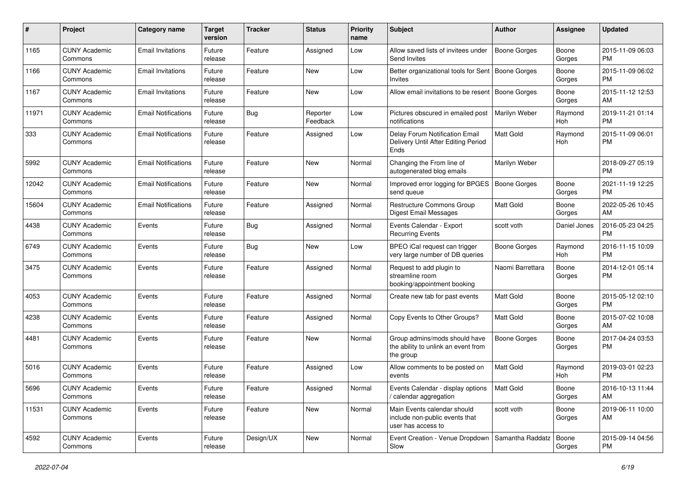| #     | Project                         | <b>Category name</b>       | <b>Target</b><br>version | <b>Tracker</b> | <b>Status</b>        | Priority<br>name | <b>Subject</b>                                                                      | Author              | <b>Assignee</b> | <b>Updated</b>                |
|-------|---------------------------------|----------------------------|--------------------------|----------------|----------------------|------------------|-------------------------------------------------------------------------------------|---------------------|-----------------|-------------------------------|
| 1165  | <b>CUNY Academic</b><br>Commons | <b>Email Invitations</b>   | Future<br>release        | Feature        | Assigned             | Low              | Allow saved lists of invitees under<br>Send Invites                                 | <b>Boone Gorges</b> | Boone<br>Gorges | 2015-11-09 06:03<br><b>PM</b> |
| 1166  | <b>CUNY Academic</b><br>Commons | <b>Email Invitations</b>   | Future<br>release        | Feature        | New                  | Low              | Better organizational tools for Sent   Boone Gorges<br><b>Invites</b>               |                     | Boone<br>Gorges | 2015-11-09 06:02<br><b>PM</b> |
| 1167  | <b>CUNY Academic</b><br>Commons | <b>Email Invitations</b>   | Future<br>release        | Feature        | <b>New</b>           | Low              | Allow email invitations to be resent                                                | Boone Gorges        | Boone<br>Gorges | 2015-11-12 12:53<br>AM        |
| 11971 | <b>CUNY Academic</b><br>Commons | <b>Email Notifications</b> | Future<br>release        | Bug            | Reporter<br>Feedback | Low              | Pictures obscured in emailed post<br>notifications                                  | Marilyn Weber       | Raymond<br>Hoh  | 2019-11-21 01:14<br><b>PM</b> |
| 333   | <b>CUNY Academic</b><br>Commons | <b>Email Notifications</b> | Future<br>release        | Feature        | Assigned             | Low              | Delay Forum Notification Email<br>Delivery Until After Editing Period<br>Ends       | <b>Matt Gold</b>    | Raymond<br>Hoh  | 2015-11-09 06:01<br><b>PM</b> |
| 5992  | <b>CUNY Academic</b><br>Commons | <b>Email Notifications</b> | Future<br>release        | Feature        | New                  | Normal           | Changing the From line of<br>autogenerated blog emails                              | Marilyn Weber       |                 | 2018-09-27 05:19<br><b>PM</b> |
| 12042 | <b>CUNY Academic</b><br>Commons | <b>Email Notifications</b> | Future<br>release        | Feature        | New                  | Normal           | Improved error logging for BPGES<br>send queue                                      | Boone Gorges        | Boone<br>Gorges | 2021-11-19 12:25<br><b>PM</b> |
| 15604 | <b>CUNY Academic</b><br>Commons | <b>Email Notifications</b> | Future<br>release        | Feature        | Assigned             | Normal           | <b>Restructure Commons Group</b><br><b>Digest Email Messages</b>                    | <b>Matt Gold</b>    | Boone<br>Gorges | 2022-05-26 10:45<br>AM        |
| 4438  | <b>CUNY Academic</b><br>Commons | Events                     | Future<br>release        | Bug            | Assigned             | Normal           | Events Calendar - Export<br><b>Recurring Events</b>                                 | scott voth          | Daniel Jones    | 2016-05-23 04:25<br><b>PM</b> |
| 6749  | <b>CUNY Academic</b><br>Commons | Events                     | Future<br>release        | Bug            | New                  | Low              | BPEO iCal request can trigger<br>very large number of DB queries                    | Boone Gorges        | Raymond<br>Hoh  | 2016-11-15 10:09<br><b>PM</b> |
| 3475  | <b>CUNY Academic</b><br>Commons | Events                     | Future<br>release        | Feature        | Assigned             | Normal           | Request to add plugin to<br>streamline room<br>booking/appointment booking          | Naomi Barrettara    | Boone<br>Gorges | 2014-12-01 05:14<br><b>PM</b> |
| 4053  | <b>CUNY Academic</b><br>Commons | Events                     | Future<br>release        | Feature        | Assigned             | Normal           | Create new tab for past events                                                      | Matt Gold           | Boone<br>Gorges | 2015-05-12 02:10<br><b>PM</b> |
| 4238  | <b>CUNY Academic</b><br>Commons | Events                     | Future<br>release        | Feature        | Assigned             | Normal           | Copy Events to Other Groups?                                                        | Matt Gold           | Boone<br>Gorges | 2015-07-02 10:08<br>AM        |
| 4481  | <b>CUNY Academic</b><br>Commons | Events                     | Future<br>release        | Feature        | <b>New</b>           | Normal           | Group admins/mods should have<br>the ability to unlink an event from<br>the group   | Boone Gorges        | Boone<br>Gorges | 2017-04-24 03:53<br><b>PM</b> |
| 5016  | <b>CUNY Academic</b><br>Commons | Events                     | Future<br>release        | Feature        | Assigned             | Low              | Allow comments to be posted on<br>events                                            | Matt Gold           | Raymond<br>Hoh  | 2019-03-01 02:23<br><b>PM</b> |
| 5696  | <b>CUNY Academic</b><br>Commons | Events                     | Future<br>release        | Feature        | Assigned             | Normal           | Events Calendar - display options<br>/ calendar aggregation                         | Matt Gold           | Boone<br>Gorges | 2016-10-13 11:44<br>AM        |
| 11531 | <b>CUNY Academic</b><br>Commons | Events                     | Future<br>release        | Feature        | New                  | Normal           | Main Events calendar should<br>include non-public events that<br>user has access to | scott voth          | Boone<br>Gorges | 2019-06-11 10:00<br>AM        |
| 4592  | <b>CUNY Academic</b><br>Commons | Events                     | Future<br>release        | Design/UX      | New                  | Normal           | Event Creation - Venue Dropdown   Samantha Raddatz   Boone<br>Slow                  |                     | Gorges          | 2015-09-14 04:56<br><b>PM</b> |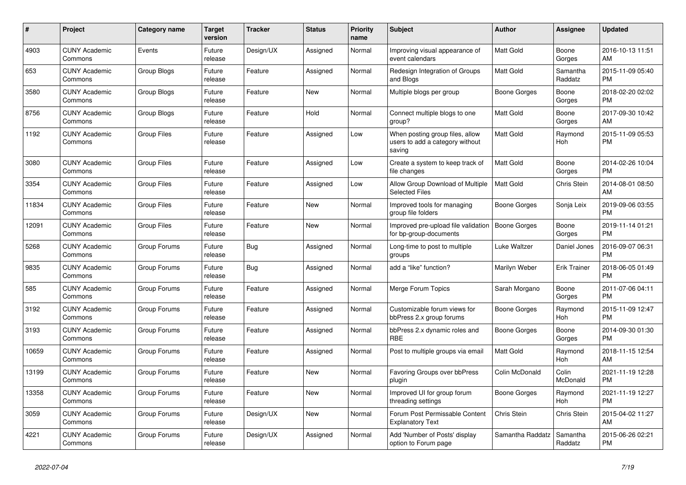| #     | <b>Project</b>                  | Category name      | <b>Target</b><br>version | <b>Tracker</b> | <b>Status</b> | <b>Priority</b><br>name | <b>Subject</b>                                                               | <b>Author</b>    | Assignee            | <b>Updated</b>                |
|-------|---------------------------------|--------------------|--------------------------|----------------|---------------|-------------------------|------------------------------------------------------------------------------|------------------|---------------------|-------------------------------|
| 4903  | <b>CUNY Academic</b><br>Commons | Events             | Future<br>release        | Design/UX      | Assigned      | Normal                  | Improving visual appearance of<br>event calendars                            | <b>Matt Gold</b> | Boone<br>Gorges     | 2016-10-13 11:51<br>AM        |
| 653   | <b>CUNY Academic</b><br>Commons | <b>Group Blogs</b> | Future<br>release        | Feature        | Assigned      | Normal                  | Redesign Integration of Groups<br>and Blogs                                  | <b>Matt Gold</b> | Samantha<br>Raddatz | 2015-11-09 05:40<br><b>PM</b> |
| 3580  | <b>CUNY Academic</b><br>Commons | Group Blogs        | Future<br>release        | Feature        | New           | Normal                  | Multiple blogs per group                                                     | Boone Gorges     | Boone<br>Gorges     | 2018-02-20 02:02<br><b>PM</b> |
| 8756  | <b>CUNY Academic</b><br>Commons | Group Blogs        | Future<br>release        | Feature        | Hold          | Normal                  | Connect multiple blogs to one<br>group?                                      | <b>Matt Gold</b> | Boone<br>Gorges     | 2017-09-30 10:42<br>AM        |
| 1192  | <b>CUNY Academic</b><br>Commons | <b>Group Files</b> | Future<br>release        | Feature        | Assigned      | Low                     | When posting group files, allow<br>users to add a category without<br>saving | <b>Matt Gold</b> | Raymond<br>Hoh      | 2015-11-09 05:53<br><b>PM</b> |
| 3080  | <b>CUNY Academic</b><br>Commons | <b>Group Files</b> | Future<br>release        | Feature        | Assigned      | Low                     | Create a system to keep track of<br>file changes                             | <b>Matt Gold</b> | Boone<br>Gorges     | 2014-02-26 10:04<br><b>PM</b> |
| 3354  | <b>CUNY Academic</b><br>Commons | <b>Group Files</b> | Future<br>release        | Feature        | Assigned      | Low                     | Allow Group Download of Multiple<br><b>Selected Files</b>                    | <b>Matt Gold</b> | <b>Chris Stein</b>  | 2014-08-01 08:50<br>AM        |
| 11834 | <b>CUNY Academic</b><br>Commons | <b>Group Files</b> | Future<br>release        | Feature        | New           | Normal                  | Improved tools for managing<br>group file folders                            | Boone Gorges     | Sonja Leix          | 2019-09-06 03:55<br><b>PM</b> |
| 12091 | <b>CUNY Academic</b><br>Commons | <b>Group Files</b> | Future<br>release        | Feature        | New           | Normal                  | Improved pre-upload file validation   Boone Gorges<br>for bp-group-documents |                  | Boone<br>Gorges     | 2019-11-14 01:21<br><b>PM</b> |
| 5268  | <b>CUNY Academic</b><br>Commons | Group Forums       | Future<br>release        | Bug            | Assigned      | Normal                  | Long-time to post to multiple<br>groups                                      | Luke Waltzer     | Daniel Jones        | 2016-09-07 06:31<br><b>PM</b> |
| 9835  | <b>CUNY Academic</b><br>Commons | Group Forums       | Future<br>release        | Bug            | Assigned      | Normal                  | add a "like" function?                                                       | Marilyn Weber    | <b>Erik Trainer</b> | 2018-06-05 01:49<br><b>PM</b> |
| 585   | <b>CUNY Academic</b><br>Commons | Group Forums       | Future<br>release        | Feature        | Assigned      | Normal                  | Merge Forum Topics                                                           | Sarah Morgano    | Boone<br>Gorges     | 2011-07-06 04:11<br><b>PM</b> |
| 3192  | <b>CUNY Academic</b><br>Commons | Group Forums       | Future<br>release        | Feature        | Assigned      | Normal                  | Customizable forum views for<br>bbPress 2.x group forums                     | Boone Gorges     | Raymond<br>Hoh      | 2015-11-09 12:47<br><b>PM</b> |
| 3193  | <b>CUNY Academic</b><br>Commons | Group Forums       | Future<br>release        | Feature        | Assigned      | Normal                  | bbPress 2.x dynamic roles and<br><b>RBE</b>                                  | Boone Gorges     | Boone<br>Gorges     | 2014-09-30 01:30<br><b>PM</b> |
| 10659 | <b>CUNY Academic</b><br>Commons | Group Forums       | Future<br>release        | Feature        | Assigned      | Normal                  | Post to multiple groups via email                                            | <b>Matt Gold</b> | Raymond<br>Hoh      | 2018-11-15 12:54<br>AM        |
| 13199 | <b>CUNY Academic</b><br>Commons | Group Forums       | Future<br>release        | Feature        | New           | Normal                  | Favoring Groups over bbPress<br>plugin                                       | Colin McDonald   | Colin<br>McDonald   | 2021-11-19 12:28<br><b>PM</b> |
| 13358 | <b>CUNY Academic</b><br>Commons | Group Forums       | Future<br>release        | Feature        | <b>New</b>    | Normal                  | Improved UI for group forum<br>threading settings                            | Boone Gorges     | Raymond<br>Hoh      | 2021-11-19 12:27<br><b>PM</b> |
| 3059  | <b>CUNY Academic</b><br>Commons | Group Forums       | Future<br>release        | Design/UX      | New           | Normal                  | Forum Post Permissable Content<br><b>Explanatory Text</b>                    | Chris Stein      | Chris Stein         | 2015-04-02 11:27<br>AM        |
| 4221  | <b>CUNY Academic</b><br>Commons | Group Forums       | Future<br>release        | Design/UX      | Assigned      | Normal                  | Add 'Number of Posts' display<br>option to Forum page                        | Samantha Raddatz | Samantha<br>Raddatz | 2015-06-26 02:21<br><b>PM</b> |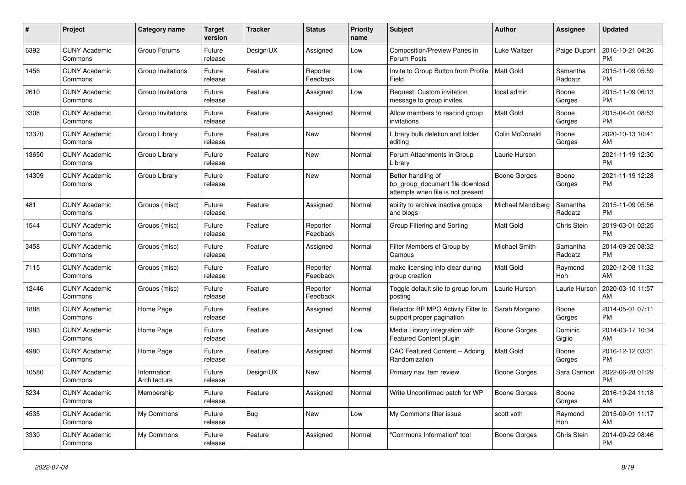| #     | Project                         | <b>Category name</b>        | <b>Target</b><br>version | <b>Tracker</b> | <b>Status</b>        | <b>Priority</b><br>name | <b>Subject</b>                                                                             | <b>Author</b>       | Assignee            | <b>Updated</b>                |
|-------|---------------------------------|-----------------------------|--------------------------|----------------|----------------------|-------------------------|--------------------------------------------------------------------------------------------|---------------------|---------------------|-------------------------------|
| 6392  | <b>CUNY Academic</b><br>Commons | Group Forums                | Future<br>release        | Design/UX      | Assigned             | Low                     | Composition/Preview Panes in<br>Forum Posts                                                | Luke Waltzer        | Paige Dupont        | 2016-10-21 04:26<br><b>PM</b> |
| 1456  | <b>CUNY Academic</b><br>Commons | Group Invitations           | Future<br>release        | Feature        | Reporter<br>Feedback | Low                     | Invite to Group Button from Profile<br>Field                                               | <b>Matt Gold</b>    | Samantha<br>Raddatz | 2015-11-09 05:59<br><b>PM</b> |
| 2610  | <b>CUNY Academic</b><br>Commons | Group Invitations           | Future<br>release        | Feature        | Assigned             | Low                     | Request: Custom invitation<br>message to group invites                                     | local admin         | Boone<br>Gorges     | 2015-11-09 06:13<br><b>PM</b> |
| 3308  | <b>CUNY Academic</b><br>Commons | Group Invitations           | Future<br>release        | Feature        | Assigned             | Normal                  | Allow members to rescind group<br>invitations                                              | <b>Matt Gold</b>    | Boone<br>Gorges     | 2015-04-01 08:53<br><b>PM</b> |
| 13370 | <b>CUNY Academic</b><br>Commons | Group Library               | Future<br>release        | Feature        | New                  | Normal                  | Library bulk deletion and folder<br>editing                                                | Colin McDonald      | Boone<br>Gorges     | 2020-10-13 10:41<br>AM        |
| 13650 | <b>CUNY Academic</b><br>Commons | Group Library               | Future<br>release        | Feature        | New                  | Normal                  | Forum Attachments in Group<br>Library                                                      | Laurie Hurson       |                     | 2021-11-19 12:30<br><b>PM</b> |
| 14309 | <b>CUNY Academic</b><br>Commons | Group Library               | Future<br>release        | Feature        | <b>New</b>           | Normal                  | Better handling of<br>bp group document file download<br>attempts when file is not present | <b>Boone Gorges</b> | Boone<br>Gorges     | 2021-11-19 12:28<br><b>PM</b> |
| 481   | <b>CUNY Academic</b><br>Commons | Groups (misc)               | Future<br>release        | Feature        | Assigned             | Normal                  | ability to archive inactive groups<br>and blogs                                            | Michael Mandiberg   | Samantha<br>Raddatz | 2015-11-09 05:56<br><b>PM</b> |
| 1544  | <b>CUNY Academic</b><br>Commons | Groups (misc)               | Future<br>release        | Feature        | Reporter<br>Feedback | Normal                  | Group Filtering and Sorting                                                                | Matt Gold           | <b>Chris Stein</b>  | 2019-03-01 02:25<br><b>PM</b> |
| 3458  | <b>CUNY Academic</b><br>Commons | Groups (misc)               | Future<br>release        | Feature        | Assigned             | Normal                  | Filter Members of Group by<br>Campus                                                       | Michael Smith       | Samantha<br>Raddatz | 2014-09-26 08:32<br><b>PM</b> |
| 7115  | <b>CUNY Academic</b><br>Commons | Groups (misc)               | Future<br>release        | Feature        | Reporter<br>Feedback | Normal                  | make licensing info clear during<br>group creation                                         | Matt Gold           | Raymond<br>Hoh      | 2020-12-08 11:32<br>AM        |
| 12446 | <b>CUNY Academic</b><br>Commons | Groups (misc)               | Future<br>release        | Feature        | Reporter<br>Feedback | Normal                  | Toggle default site to group forum<br>posting                                              | Laurie Hurson       | Laurie Hurson       | 2020-03-10 11:57<br>AM        |
| 1888  | <b>CUNY Academic</b><br>Commons | Home Page                   | Future<br>release        | Feature        | Assigned             | Normal                  | Refactor BP MPO Activity Filter to<br>support proper pagination                            | Sarah Morgano       | Boone<br>Gorges     | 2014-05-01 07:11<br><b>PM</b> |
| 1983  | <b>CUNY Academic</b><br>Commons | Home Page                   | Future<br>release        | Feature        | Assigned             | Low                     | Media Library integration with<br><b>Featured Content plugin</b>                           | Boone Gorges        | Dominic<br>Giglio   | 2014-03-17 10:34<br>AM        |
| 4980  | <b>CUNY Academic</b><br>Commons | Home Page                   | Future<br>release        | Feature        | Assigned             | Normal                  | CAC Featured Content -- Adding<br>Randomization                                            | <b>Matt Gold</b>    | Boone<br>Gorges     | 2016-12-12 03:01<br><b>PM</b> |
| 10580 | <b>CUNY Academic</b><br>Commons | Information<br>Architecture | Future<br>release        | Design/UX      | New                  | Normal                  | Primary nav item review                                                                    | Boone Gorges        | Sara Cannon         | 2022-06-28 01:29<br><b>PM</b> |
| 5234  | <b>CUNY Academic</b><br>Commons | Membership                  | Future<br>release        | Feature        | Assigned             | Normal                  | Write Unconfirmed patch for WP                                                             | Boone Gorges        | Boone<br>Gorges     | 2016-10-24 11:18<br>AM        |
| 4535  | <b>CUNY Academic</b><br>Commons | My Commons                  | Future<br>release        | Bug            | New                  | Low                     | My Commons filter issue                                                                    | scott voth          | Raymond<br>Hoh      | 2015-09-01 11:17<br>AM        |
| 3330  | <b>CUNY Academic</b><br>Commons | My Commons                  | Future<br>release        | Feature        | Assigned             | Normal                  | "Commons Information" tool                                                                 | Boone Gorges        | Chris Stein         | 2014-09-22 08:46<br><b>PM</b> |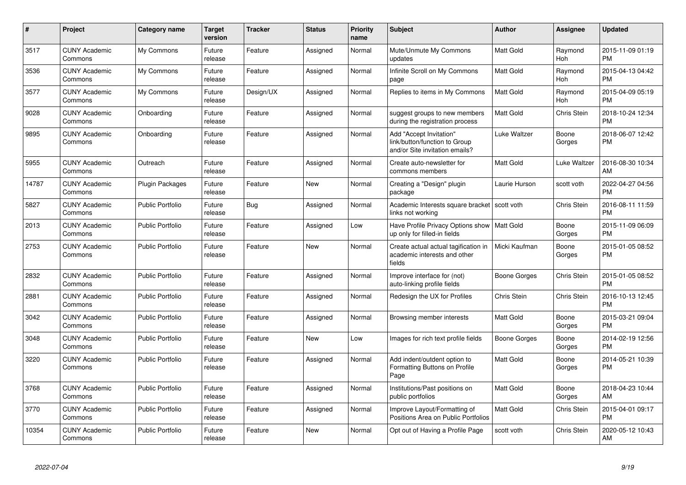| #     | <b>Project</b>                  | <b>Category name</b>    | <b>Target</b><br>version | <b>Tracker</b> | <b>Status</b> | <b>Priority</b><br>name | <b>Subject</b>                                                                             | <b>Author</b>    | Assignee              | <b>Updated</b>                |
|-------|---------------------------------|-------------------------|--------------------------|----------------|---------------|-------------------------|--------------------------------------------------------------------------------------------|------------------|-----------------------|-------------------------------|
| 3517  | <b>CUNY Academic</b><br>Commons | My Commons              | Future<br>release        | Feature        | Assigned      | Normal                  | Mute/Unmute My Commons<br>updates                                                          | Matt Gold        | Raymond<br>Hoh        | 2015-11-09 01:19<br><b>PM</b> |
| 3536  | <b>CUNY Academic</b><br>Commons | My Commons              | Future<br>release        | Feature        | Assigned      | Normal                  | Infinite Scroll on My Commons<br>page                                                      | <b>Matt Gold</b> | Raymond<br><b>Hoh</b> | 2015-04-13 04:42<br><b>PM</b> |
| 3577  | <b>CUNY Academic</b><br>Commons | My Commons              | Future<br>release        | Design/UX      | Assigned      | Normal                  | Replies to items in My Commons                                                             | Matt Gold        | Raymond<br>Hoh        | 2015-04-09 05:19<br><b>PM</b> |
| 9028  | <b>CUNY Academic</b><br>Commons | Onboarding              | Future<br>release        | Feature        | Assigned      | Normal                  | suggest groups to new members<br>during the registration process                           | Matt Gold        | Chris Stein           | 2018-10-24 12:34<br><b>PM</b> |
| 9895  | <b>CUNY Academic</b><br>Commons | Onboarding              | Future<br>release        | Feature        | Assigned      | Normal                  | Add "Accept Invitation"<br>link/button/function to Group<br>and/or Site invitation emails? | Luke Waltzer     | Boone<br>Gorges       | 2018-06-07 12:42<br>PM        |
| 5955  | <b>CUNY Academic</b><br>Commons | Outreach                | Future<br>release        | Feature        | Assigned      | Normal                  | Create auto-newsletter for<br>commons members                                              | Matt Gold        | Luke Waltzer          | 2016-08-30 10:34<br>AM        |
| 14787 | <b>CUNY Academic</b><br>Commons | Plugin Packages         | Future<br>release        | Feature        | <b>New</b>    | Normal                  | Creating a "Design" plugin<br>package                                                      | Laurie Hurson    | scott voth            | 2022-04-27 04:56<br><b>PM</b> |
| 5827  | <b>CUNY Academic</b><br>Commons | <b>Public Portfolio</b> | Future<br>release        | <b>Bug</b>     | Assigned      | Normal                  | Academic Interests square bracket<br>links not working                                     | scott voth       | Chris Stein           | 2016-08-11 11:59<br><b>PM</b> |
| 2013  | <b>CUNY Academic</b><br>Commons | <b>Public Portfolio</b> | Future<br>release        | Feature        | Assigned      | Low                     | Have Profile Privacy Options show<br>up only for filled-in fields                          | Matt Gold        | Boone<br>Gorges       | 2015-11-09 06:09<br><b>PM</b> |
| 2753  | <b>CUNY Academic</b><br>Commons | Public Portfolio        | Future<br>release        | Feature        | New           | Normal                  | Create actual actual tagification in<br>academic interests and other<br>fields             | Micki Kaufman    | Boone<br>Gorges       | 2015-01-05 08:52<br><b>PM</b> |
| 2832  | <b>CUNY Academic</b><br>Commons | <b>Public Portfolio</b> | Future<br>release        | Feature        | Assigned      | Normal                  | Improve interface for (not)<br>auto-linking profile fields                                 | Boone Gorges     | Chris Stein           | 2015-01-05 08:52<br><b>PM</b> |
| 2881  | <b>CUNY Academic</b><br>Commons | <b>Public Portfolio</b> | Future<br>release        | Feature        | Assigned      | Normal                  | Redesign the UX for Profiles                                                               | Chris Stein      | Chris Stein           | 2016-10-13 12:45<br><b>PM</b> |
| 3042  | <b>CUNY Academic</b><br>Commons | Public Portfolio        | Future<br>release        | Feature        | Assigned      | Normal                  | Browsing member interests                                                                  | Matt Gold        | Boone<br>Gorges       | 2015-03-21 09:04<br><b>PM</b> |
| 3048  | <b>CUNY Academic</b><br>Commons | <b>Public Portfolio</b> | Future<br>release        | Feature        | <b>New</b>    | Low                     | Images for rich text profile fields                                                        | Boone Gorges     | Boone<br>Gorges       | 2014-02-19 12:56<br><b>PM</b> |
| 3220  | <b>CUNY Academic</b><br>Commons | <b>Public Portfolio</b> | Future<br>release        | Feature        | Assigned      | Normal                  | Add indent/outdent option to<br>Formatting Buttons on Profile<br>Page                      | <b>Matt Gold</b> | Boone<br>Gorges       | 2014-05-21 10:39<br><b>PM</b> |
| 3768  | <b>CUNY Academic</b><br>Commons | <b>Public Portfolio</b> | Future<br>release        | Feature        | Assigned      | Normal                  | Institutions/Past positions on<br>public portfolios                                        | Matt Gold        | Boone<br>Gorges       | 2018-04-23 10:44<br>AM        |
| 3770  | <b>CUNY Academic</b><br>Commons | <b>Public Portfolio</b> | Future<br>release        | Feature        | Assigned      | Normal                  | Improve Layout/Formatting of<br>Positions Area on Public Portfolios                        | Matt Gold        | Chris Stein           | 2015-04-01 09:17<br><b>PM</b> |
| 10354 | <b>CUNY Academic</b><br>Commons | <b>Public Portfolio</b> | Future<br>release        | Feature        | <b>New</b>    | Normal                  | Opt out of Having a Profile Page                                                           | scott voth       | Chris Stein           | 2020-05-12 10:43<br>AM        |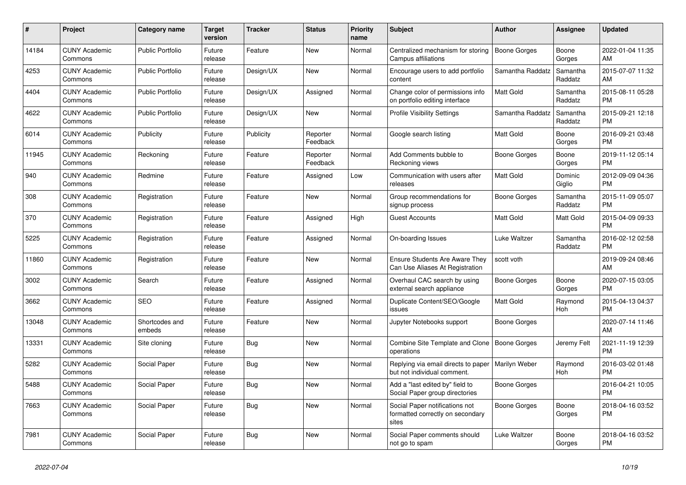| $\#$  | Project                         | <b>Category name</b>     | <b>Target</b><br>version | <b>Tracker</b> | <b>Status</b>        | Priority<br>name | <b>Subject</b>                                                              | <b>Author</b>    | <b>Assignee</b>     | <b>Updated</b>                |
|-------|---------------------------------|--------------------------|--------------------------|----------------|----------------------|------------------|-----------------------------------------------------------------------------|------------------|---------------------|-------------------------------|
| 14184 | <b>CUNY Academic</b><br>Commons | <b>Public Portfolio</b>  | Future<br>release        | Feature        | New                  | Normal           | Centralized mechanism for storing<br>Campus affiliations                    | Boone Gorges     | Boone<br>Gorges     | 2022-01-04 11:35<br>AM        |
| 4253  | <b>CUNY Academic</b><br>Commons | Public Portfolio         | Future<br>release        | Design/UX      | New                  | Normal           | Encourage users to add portfolio<br>content                                 | Samantha Raddatz | Samantha<br>Raddatz | 2015-07-07 11:32<br>AM        |
| 4404  | <b>CUNY Academic</b><br>Commons | <b>Public Portfolio</b>  | Future<br>release        | Design/UX      | Assigned             | Normal           | Change color of permissions info<br>on portfolio editing interface          | Matt Gold        | Samantha<br>Raddatz | 2015-08-11 05:28<br><b>PM</b> |
| 4622  | <b>CUNY Academic</b><br>Commons | <b>Public Portfolio</b>  | Future<br>release        | Design/UX      | <b>New</b>           | Normal           | <b>Profile Visibility Settings</b>                                          | Samantha Raddatz | Samantha<br>Raddatz | 2015-09-21 12:18<br><b>PM</b> |
| 6014  | <b>CUNY Academic</b><br>Commons | Publicity                | Future<br>release        | Publicity      | Reporter<br>Feedback | Normal           | Google search listing                                                       | Matt Gold        | Boone<br>Gorges     | 2016-09-21 03:48<br><b>PM</b> |
| 11945 | <b>CUNY Academic</b><br>Commons | Reckoning                | Future<br>release        | Feature        | Reporter<br>Feedback | Normal           | Add Comments bubble to<br>Reckoning views                                   | Boone Gorges     | Boone<br>Gorges     | 2019-11-12 05:14<br><b>PM</b> |
| 940   | <b>CUNY Academic</b><br>Commons | Redmine                  | Future<br>release        | Feature        | Assigned             | Low              | Communication with users after<br>releases                                  | <b>Matt Gold</b> | Dominic<br>Giglio   | 2012-09-09 04:36<br><b>PM</b> |
| 308   | <b>CUNY Academic</b><br>Commons | Registration             | Future<br>release        | Feature        | New                  | Normal           | Group recommendations for<br>signup process                                 | Boone Gorges     | Samantha<br>Raddatz | 2015-11-09 05:07<br><b>PM</b> |
| 370   | <b>CUNY Academic</b><br>Commons | Registration             | Future<br>release        | Feature        | Assigned             | High             | <b>Guest Accounts</b>                                                       | Matt Gold        | Matt Gold           | 2015-04-09 09:33<br><b>PM</b> |
| 5225  | <b>CUNY Academic</b><br>Commons | Registration             | Future<br>release        | Feature        | Assigned             | Normal           | On-boarding Issues                                                          | Luke Waltzer     | Samantha<br>Raddatz | 2016-02-12 02:58<br><b>PM</b> |
| 11860 | <b>CUNY Academic</b><br>Commons | Registration             | Future<br>release        | Feature        | New                  | Normal           | <b>Ensure Students Are Aware They</b><br>Can Use Aliases At Registration    | scott voth       |                     | 2019-09-24 08:46<br>AM        |
| 3002  | <b>CUNY Academic</b><br>Commons | Search                   | Future<br>release        | Feature        | Assigned             | Normal           | Overhaul CAC search by using<br>external search appliance                   | Boone Gorges     | Boone<br>Gorges     | 2020-07-15 03:05<br><b>PM</b> |
| 3662  | <b>CUNY Academic</b><br>Commons | <b>SEO</b>               | Future<br>release        | Feature        | Assigned             | Normal           | Duplicate Content/SEO/Google<br>issues                                      | <b>Matt Gold</b> | Raymond<br>Hoh      | 2015-04-13 04:37<br><b>PM</b> |
| 13048 | <b>CUNY Academic</b><br>Commons | Shortcodes and<br>embeds | Future<br>release        | Feature        | <b>New</b>           | Normal           | Jupyter Notebooks support                                                   | Boone Gorges     |                     | 2020-07-14 11:46<br>AM        |
| 13331 | <b>CUNY Academic</b><br>Commons | Site cloning             | Future<br>release        | Bug            | New                  | Normal           | Combine Site Template and Clone<br>operations                               | Boone Gorges     | Jeremy Felt         | 2021-11-19 12:39<br><b>PM</b> |
| 5282  | <b>CUNY Academic</b><br>Commons | Social Paper             | Future<br>release        | Bug            | New                  | Normal           | Replying via email directs to paper<br>but not individual comment.          | Marilyn Weber    | Raymond<br>Hoh      | 2016-03-02 01:48<br><b>PM</b> |
| 5488  | <b>CUNY Academic</b><br>Commons | Social Paper             | Future<br>release        | <b>Bug</b>     | <b>New</b>           | Normal           | Add a "last edited by" field to<br>Social Paper group directories           | Boone Gorges     |                     | 2016-04-21 10:05<br><b>PM</b> |
| 7663  | <b>CUNY Academic</b><br>Commons | Social Paper             | Future<br>release        | Bug            | <b>New</b>           | Normal           | Social Paper notifications not<br>formatted correctly on secondary<br>sites | Boone Gorges     | Boone<br>Gorges     | 2018-04-16 03:52<br><b>PM</b> |
| 7981  | <b>CUNY Academic</b><br>Commons | Social Paper             | Future<br>release        | <b>Bug</b>     | <b>New</b>           | Normal           | Social Paper comments should<br>not go to spam                              | Luke Waltzer     | Boone<br>Gorges     | 2018-04-16 03:52<br><b>PM</b> |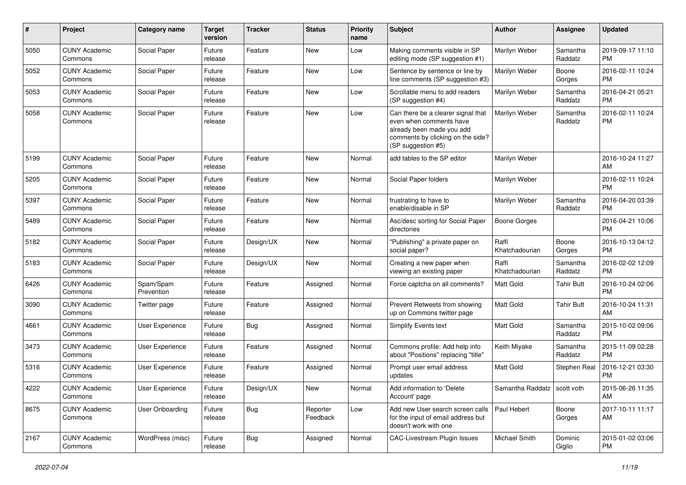| #    | Project                         | <b>Category name</b>    | <b>Target</b><br>version | <b>Tracker</b> | <b>Status</b>        | <b>Priority</b><br>name | <b>Subject</b>                                                                                                                                        | Author                        | Assignee            | <b>Updated</b>                |
|------|---------------------------------|-------------------------|--------------------------|----------------|----------------------|-------------------------|-------------------------------------------------------------------------------------------------------------------------------------------------------|-------------------------------|---------------------|-------------------------------|
| 5050 | <b>CUNY Academic</b><br>Commons | Social Paper            | Future<br>release        | Feature        | <b>New</b>           | Low                     | Making comments visible in SP<br>editing mode (SP suggestion #1)                                                                                      | Marilyn Weber                 | Samantha<br>Raddatz | 2019-09-17 11:10<br><b>PM</b> |
| 5052 | <b>CUNY Academic</b><br>Commons | Social Paper            | Future<br>release        | Feature        | New                  | Low                     | Sentence by sentence or line by<br>line comments (SP suggestion #3)                                                                                   | Marilyn Weber                 | Boone<br>Gorges     | 2016-02-11 10:24<br><b>PM</b> |
| 5053 | <b>CUNY Academic</b><br>Commons | Social Paper            | Future<br>release        | Feature        | <b>New</b>           | Low                     | Scrollable menu to add readers<br>(SP suggestion #4)                                                                                                  | Marilyn Weber                 | Samantha<br>Raddatz | 2016-04-21 05:21<br><b>PM</b> |
| 5058 | <b>CUNY Academic</b><br>Commons | Social Paper            | Future<br>release        | Feature        | <b>New</b>           | Low                     | Can there be a clearer signal that<br>even when comments have<br>already been made you add<br>comments by clicking on the side?<br>(SP suggestion #5) | Marilyn Weber                 | Samantha<br>Raddatz | 2016-02-11 10:24<br><b>PM</b> |
| 5199 | <b>CUNY Academic</b><br>Commons | Social Paper            | Future<br>release        | Feature        | New                  | Normal                  | add tables to the SP editor                                                                                                                           | Marilyn Weber                 |                     | 2016-10-24 11:27<br>AM        |
| 5205 | <b>CUNY Academic</b><br>Commons | Social Paper            | Future<br>release        | Feature        | New                  | Normal                  | Social Paper folders                                                                                                                                  | Marilyn Weber                 |                     | 2016-02-11 10:24<br><b>PM</b> |
| 5397 | <b>CUNY Academic</b><br>Commons | Social Paper            | Future<br>release        | Feature        | New                  | Normal                  | frustrating to have to<br>enable/disable in SP                                                                                                        | Marilyn Weber                 | Samantha<br>Raddatz | 2016-04-20 03:39<br><b>PM</b> |
| 5489 | <b>CUNY Academic</b><br>Commons | Social Paper            | Future<br>release        | Feature        | <b>New</b>           | Normal                  | Asc/desc sorting for Social Paper<br>directories                                                                                                      | Boone Gorges                  |                     | 2016-04-21 10:06<br><b>PM</b> |
| 5182 | <b>CUNY Academic</b><br>Commons | Social Paper            | Future<br>release        | Design/UX      | New                  | Normal                  | "Publishing" a private paper on<br>social paper?                                                                                                      | Raffi<br>Khatchadourian       | Boone<br>Gorges     | 2016-10-13 04:12<br><b>PM</b> |
| 5183 | <b>CUNY Academic</b><br>Commons | Social Paper            | Future<br>release        | Design/UX      | <b>New</b>           | Normal                  | Creating a new paper when<br>viewing an existing paper                                                                                                | Raffi<br>Khatchadourian       | Samantha<br>Raddatz | 2016-02-02 12:09<br><b>PM</b> |
| 6426 | <b>CUNY Academic</b><br>Commons | Spam/Spam<br>Prevention | Future<br>release        | Feature        | Assigned             | Normal                  | Force captcha on all comments?                                                                                                                        | <b>Matt Gold</b>              | <b>Tahir Butt</b>   | 2016-10-24 02:06<br><b>PM</b> |
| 3090 | <b>CUNY Academic</b><br>Commons | Twitter page            | Future<br>release        | Feature        | Assigned             | Normal                  | Prevent Retweets from showing<br>up on Commons twitter page                                                                                           | <b>Matt Gold</b>              | <b>Tahir Butt</b>   | 2016-10-24 11:31<br>AM        |
| 4661 | <b>CUNY Academic</b><br>Commons | User Experience         | Future<br>release        | Bug            | Assigned             | Normal                  | Simplify Events text                                                                                                                                  | <b>Matt Gold</b>              | Samantha<br>Raddatz | 2015-10-02 09:06<br><b>PM</b> |
| 3473 | <b>CUNY Academic</b><br>Commons | User Experience         | Future<br>release        | Feature        | Assigned             | Normal                  | Commons profile: Add help info<br>about "Positions" replacing "title"                                                                                 | Keith Miyake                  | Samantha<br>Raddatz | 2015-11-09 02:28<br><b>PM</b> |
| 5316 | <b>CUNY Academic</b><br>Commons | User Experience         | Future<br>release        | Feature        | Assigned             | Normal                  | Prompt user email address<br>updates                                                                                                                  | <b>Matt Gold</b>              | Stephen Real        | 2016-12-21 03:30<br><b>PM</b> |
| 4222 | <b>CUNY Academic</b><br>Commons | User Experience         | Future<br>release        | Design/UX      | New                  | Normal                  | Add information to 'Delete<br>Account' page                                                                                                           | Samantha Raddatz   scott voth |                     | 2015-06-26 11:35<br>AM        |
| 8675 | <b>CUNY Academic</b><br>Commons | User Onboarding         | Future<br>release        | Bug            | Reporter<br>Feedback | Low                     | Add new User search screen calls<br>for the input of email address but<br>doesn't work with one                                                       | Paul Hebert                   | Boone<br>Gorges     | 2017-10-11 11:17<br>AM        |
| 2167 | <b>CUNY Academic</b><br>Commons | WordPress (misc)        | Future<br>release        | Bug            | Assigned             | Normal                  | <b>CAC-Livestream Plugin Issues</b>                                                                                                                   | Michael Smith                 | Dominic<br>Giglio   | 2015-01-02 03:06<br>PM.       |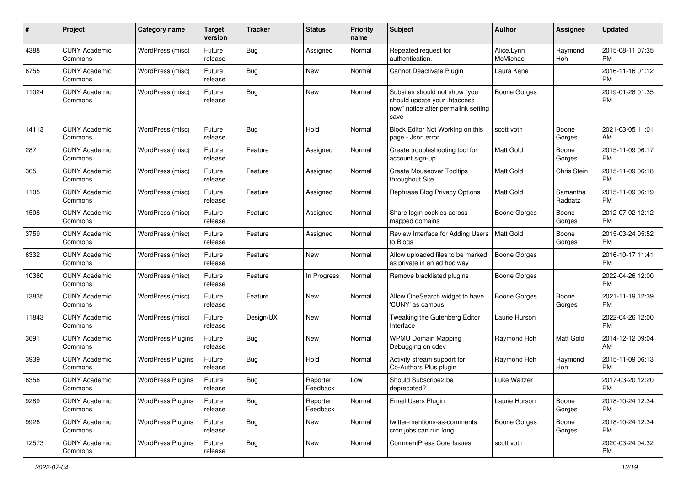| #     | Project                         | <b>Category name</b>     | <b>Target</b><br>version | <b>Tracker</b> | <b>Status</b>        | <b>Priority</b><br>name | <b>Subject</b>                                                                                               | <b>Author</b>           | <b>Assignee</b>     | <b>Updated</b>                |
|-------|---------------------------------|--------------------------|--------------------------|----------------|----------------------|-------------------------|--------------------------------------------------------------------------------------------------------------|-------------------------|---------------------|-------------------------------|
| 4388  | <b>CUNY Academic</b><br>Commons | WordPress (misc)         | Future<br>release        | Bug            | Assigned             | Normal                  | Repeated request for<br>authentication.                                                                      | Alice.Lynn<br>McMichael | Raymond<br>Hoh      | 2015-08-11 07:35<br>PM.       |
| 6755  | <b>CUNY Academic</b><br>Commons | WordPress (misc)         | Future<br>release        | <b>Bug</b>     | New                  | Normal                  | Cannot Deactivate Plugin                                                                                     | Laura Kane              |                     | 2016-11-16 01:12<br><b>PM</b> |
| 11024 | <b>CUNY Academic</b><br>Commons | WordPress (misc)         | Future<br>release        | Bug            | New                  | Normal                  | Subsites should not show "you<br>should update your .htaccess<br>now" notice after permalink setting<br>save | <b>Boone Gorges</b>     |                     | 2019-01-28 01:35<br><b>PM</b> |
| 14113 | <b>CUNY Academic</b><br>Commons | WordPress (misc)         | Future<br>release        | Bug            | Hold                 | Normal                  | Block Editor Not Working on this<br>page - Json error                                                        | scott voth              | Boone<br>Gorges     | 2021-03-05 11:01<br>AM        |
| 287   | <b>CUNY Academic</b><br>Commons | WordPress (misc)         | Future<br>release        | Feature        | Assigned             | Normal                  | Create troubleshooting tool for<br>account sign-up                                                           | Matt Gold               | Boone<br>Gorges     | 2015-11-09 06:17<br>PM.       |
| 365   | <b>CUNY Academic</b><br>Commons | WordPress (misc)         | Future<br>release        | Feature        | Assigned             | Normal                  | <b>Create Mouseover Tooltips</b><br>throughout Site                                                          | Matt Gold               | Chris Stein         | 2015-11-09 06:18<br><b>PM</b> |
| 1105  | <b>CUNY Academic</b><br>Commons | WordPress (misc)         | Future<br>release        | Feature        | Assigned             | Normal                  | Rephrase Blog Privacy Options                                                                                | Matt Gold               | Samantha<br>Raddatz | 2015-11-09 06:19<br><b>PM</b> |
| 1508  | <b>CUNY Academic</b><br>Commons | WordPress (misc)         | Future<br>release        | Feature        | Assigned             | Normal                  | Share login cookies across<br>mapped domains                                                                 | <b>Boone Gorges</b>     | Boone<br>Gorges     | 2012-07-02 12:12<br><b>PM</b> |
| 3759  | <b>CUNY Academic</b><br>Commons | WordPress (misc)         | Future<br>release        | Feature        | Assigned             | Normal                  | Review Interface for Adding Users<br>to Blogs                                                                | <b>Matt Gold</b>        | Boone<br>Gorges     | 2015-03-24 05:52<br><b>PM</b> |
| 6332  | <b>CUNY Academic</b><br>Commons | WordPress (misc)         | Future<br>release        | Feature        | New                  | Normal                  | Allow uploaded files to be marked<br>as private in an ad hoc way                                             | Boone Gorges            |                     | 2016-10-17 11:41<br><b>PM</b> |
| 10380 | <b>CUNY Academic</b><br>Commons | WordPress (misc)         | Future<br>release        | Feature        | In Progress          | Normal                  | Remove blacklisted plugins                                                                                   | Boone Gorges            |                     | 2022-04-26 12:00<br><b>PM</b> |
| 13835 | <b>CUNY Academic</b><br>Commons | WordPress (misc)         | Future<br>release        | Feature        | New                  | Normal                  | Allow OneSearch widget to have<br>'CUNY' as campus                                                           | Boone Gorges            | Boone<br>Gorges     | 2021-11-19 12:39<br>PM.       |
| 11843 | <b>CUNY Academic</b><br>Commons | WordPress (misc)         | Future<br>release        | Design/UX      | <b>New</b>           | Normal                  | Tweaking the Gutenberg Editor<br>Interface                                                                   | Laurie Hurson           |                     | 2022-04-26 12:00<br>PM.       |
| 3691  | <b>CUNY Academic</b><br>Commons | <b>WordPress Plugins</b> | Future<br>release        | Bug            | <b>New</b>           | Normal                  | <b>WPMU Domain Mapping</b><br>Debugging on cdev                                                              | Raymond Hoh             | Matt Gold           | 2014-12-12 09:04<br>AM        |
| 3939  | <b>CUNY Academic</b><br>Commons | <b>WordPress Plugins</b> | Future<br>release        | Bug            | Hold                 | Normal                  | Activity stream support for<br>Co-Authors Plus plugin                                                        | Raymond Hoh             | Raymond<br>Hoh      | 2015-11-09 06:13<br><b>PM</b> |
| 6356  | <b>CUNY Academic</b><br>Commons | <b>WordPress Plugins</b> | Future<br>release        | Bug            | Reporter<br>Feedback | Low                     | Should Subscribe2 be<br>deprecated?                                                                          | Luke Waltzer            |                     | 2017-03-20 12:20<br><b>PM</b> |
| 9289  | <b>CUNY Academic</b><br>Commons | <b>WordPress Plugins</b> | Future<br>release        | Bug            | Reporter<br>Feedback | Normal                  | Email Users Plugin                                                                                           | Laurie Hurson           | Boone<br>Gorges     | 2018-10-24 12:34<br>PM.       |
| 9926  | <b>CUNY Academic</b><br>Commons | <b>WordPress Plugins</b> | Future<br>release        | <b>Bug</b>     | New                  | Normal                  | twitter-mentions-as-comments<br>cron jobs can run long                                                       | Boone Gorges            | Boone<br>Gorges     | 2018-10-24 12:34<br><b>PM</b> |
| 12573 | <b>CUNY Academic</b><br>Commons | <b>WordPress Plugins</b> | Future<br>release        | <b>Bug</b>     | New                  | Normal                  | <b>CommentPress Core Issues</b>                                                                              | scott voth              |                     | 2020-03-24 04:32<br><b>PM</b> |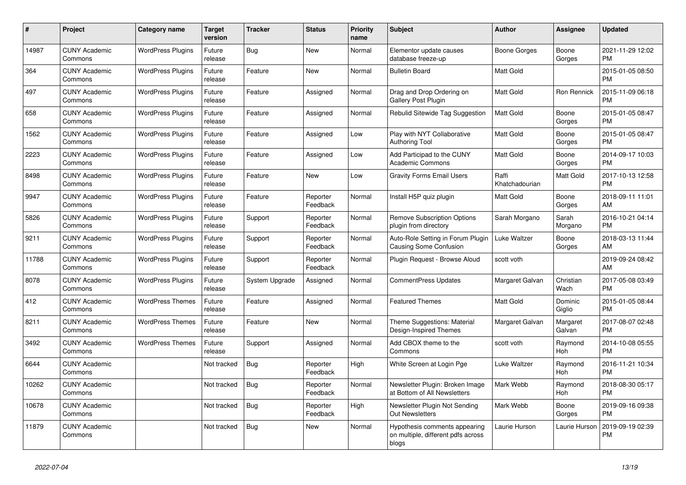| #     | Project                         | Category name            | <b>Target</b><br>version | Tracker        | <b>Status</b>        | <b>Priority</b><br>name | <b>Subject</b>                                                               | <b>Author</b>           | Assignee           | <b>Updated</b>                |
|-------|---------------------------------|--------------------------|--------------------------|----------------|----------------------|-------------------------|------------------------------------------------------------------------------|-------------------------|--------------------|-------------------------------|
| 14987 | <b>CUNY Academic</b><br>Commons | <b>WordPress Plugins</b> | Future<br>release        | Bug            | <b>New</b>           | Normal                  | Elementor update causes<br>database freeze-up                                | Boone Gorges            | Boone<br>Gorges    | 2021-11-29 12:02<br><b>PM</b> |
| 364   | <b>CUNY Academic</b><br>Commons | <b>WordPress Plugins</b> | Future<br>release        | Feature        | New                  | Normal                  | <b>Bulletin Board</b>                                                        | <b>Matt Gold</b>        |                    | 2015-01-05 08:50<br><b>PM</b> |
| 497   | <b>CUNY Academic</b><br>Commons | <b>WordPress Plugins</b> | Future<br>release        | Feature        | Assigned             | Normal                  | Drag and Drop Ordering on<br>Gallery Post Plugin                             | <b>Matt Gold</b>        | Ron Rennick        | 2015-11-09 06:18<br><b>PM</b> |
| 658   | <b>CUNY Academic</b><br>Commons | <b>WordPress Plugins</b> | Future<br>release        | Feature        | Assigned             | Normal                  | Rebulid Sitewide Tag Suggestion                                              | <b>Matt Gold</b>        | Boone<br>Gorges    | 2015-01-05 08:47<br><b>PM</b> |
| 1562  | <b>CUNY Academic</b><br>Commons | <b>WordPress Plugins</b> | Future<br>release        | Feature        | Assigned             | Low                     | Play with NYT Collaborative<br><b>Authoring Tool</b>                         | <b>Matt Gold</b>        | Boone<br>Gorges    | 2015-01-05 08:47<br><b>PM</b> |
| 2223  | <b>CUNY Academic</b><br>Commons | <b>WordPress Plugins</b> | Future<br>release        | Feature        | Assigned             | Low                     | Add Participad to the CUNY<br>Academic Commons                               | <b>Matt Gold</b>        | Boone<br>Gorges    | 2014-09-17 10:03<br><b>PM</b> |
| 8498  | <b>CUNY Academic</b><br>Commons | <b>WordPress Plugins</b> | Future<br>release        | Feature        | <b>New</b>           | Low                     | <b>Gravity Forms Email Users</b>                                             | Raffi<br>Khatchadourian | Matt Gold          | 2017-10-13 12:58<br><b>PM</b> |
| 9947  | <b>CUNY Academic</b><br>Commons | <b>WordPress Plugins</b> | Future<br>release        | Feature        | Reporter<br>Feedback | Normal                  | Install H5P quiz plugin                                                      | <b>Matt Gold</b>        | Boone<br>Gorges    | 2018-09-11 11:01<br>AM        |
| 5826  | <b>CUNY Academic</b><br>Commons | <b>WordPress Plugins</b> | Future<br>release        | Support        | Reporter<br>Feedback | Normal                  | <b>Remove Subscription Options</b><br>plugin from directory                  | Sarah Morgano           | Sarah<br>Morgano   | 2016-10-21 04:14<br><b>PM</b> |
| 9211  | <b>CUNY Academic</b><br>Commons | <b>WordPress Plugins</b> | Future<br>release        | Support        | Reporter<br>Feedback | Normal                  | Auto-Role Setting in Forum Plugin<br><b>Causing Some Confusion</b>           | Luke Waltzer            | Boone<br>Gorges    | 2018-03-13 11:44<br>AM        |
| 11788 | <b>CUNY Academic</b><br>Commons | <b>WordPress Plugins</b> | Future<br>release        | Support        | Reporter<br>Feedback | Normal                  | Plugin Request - Browse Aloud                                                | scott voth              |                    | 2019-09-24 08:42<br>AM        |
| 8078  | <b>CUNY Academic</b><br>Commons | <b>WordPress Plugins</b> | Future<br>release        | System Upgrade | Assigned             | Normal                  | <b>CommentPress Updates</b>                                                  | Margaret Galvan         | Christian<br>Wach  | 2017-05-08 03:49<br><b>PM</b> |
| 412   | <b>CUNY Academic</b><br>Commons | <b>WordPress Themes</b>  | Future<br>release        | Feature        | Assigned             | Normal                  | <b>Featured Themes</b>                                                       | <b>Matt Gold</b>        | Dominic<br>Giglio  | 2015-01-05 08:44<br><b>PM</b> |
| 8211  | <b>CUNY Academic</b><br>Commons | <b>WordPress Themes</b>  | Future<br>release        | Feature        | New                  | Normal                  | Theme Suggestions: Material<br>Design-Inspired Themes                        | Margaret Galvan         | Margaret<br>Galvan | 2017-08-07 02:48<br><b>PM</b> |
| 3492  | <b>CUNY Academic</b><br>Commons | <b>WordPress Themes</b>  | Future<br>release        | Support        | Assigned             | Normal                  | Add CBOX theme to the<br>Commons                                             | scott voth              | Raymond<br>Hoh     | 2014-10-08 05:55<br><b>PM</b> |
| 6644  | <b>CUNY Academic</b><br>Commons |                          | Not tracked              | <b>Bug</b>     | Reporter<br>Feedback | High                    | White Screen at Login Pge                                                    | Luke Waltzer            | Raymond<br>Hoh     | 2016-11-21 10:34<br><b>PM</b> |
| 10262 | <b>CUNY Academic</b><br>Commons |                          | Not tracked              | <b>Bug</b>     | Reporter<br>Feedback | Normal                  | Newsletter Plugin: Broken Image<br>at Bottom of All Newsletters              | Mark Webb               | Raymond<br>Hoh     | 2018-08-30 05:17<br><b>PM</b> |
| 10678 | <b>CUNY Academic</b><br>Commons |                          | Not tracked              | <b>Bug</b>     | Reporter<br>Feedback | High                    | Newsletter Plugin Not Sending<br><b>Out Newsletters</b>                      | Mark Webb               | Boone<br>Gorges    | 2019-09-16 09:38<br><b>PM</b> |
| 11879 | <b>CUNY Academic</b><br>Commons |                          | Not tracked              | <b>Bug</b>     | New                  | Normal                  | Hypothesis comments appearing<br>on multiple, different pdfs across<br>blogs | Laurie Hurson           | Laurie Hurson      | 2019-09-19 02:39<br><b>PM</b> |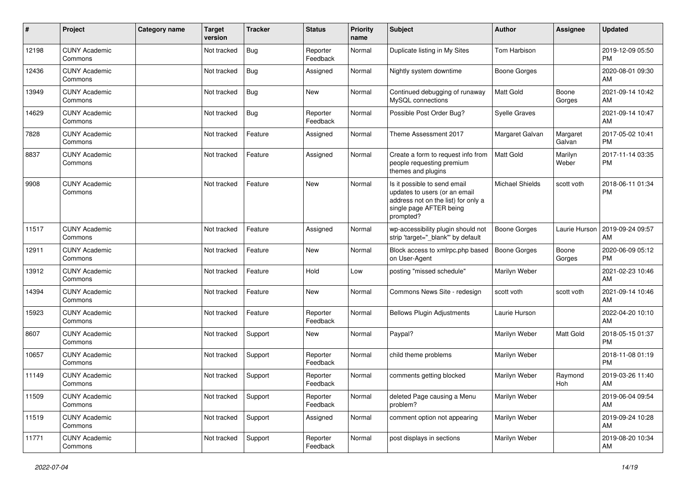| #     | Project                         | Category name | <b>Target</b><br>version | <b>Tracker</b> | <b>Status</b>        | Priority<br>name | <b>Subject</b>                                                                                                                               | <b>Author</b>        | <b>Assignee</b>    | <b>Updated</b>                |
|-------|---------------------------------|---------------|--------------------------|----------------|----------------------|------------------|----------------------------------------------------------------------------------------------------------------------------------------------|----------------------|--------------------|-------------------------------|
| 12198 | <b>CUNY Academic</b><br>Commons |               | Not tracked              | <b>Bug</b>     | Reporter<br>Feedback | Normal           | Duplicate listing in My Sites                                                                                                                | <b>Tom Harbison</b>  |                    | 2019-12-09 05:50<br><b>PM</b> |
| 12436 | <b>CUNY Academic</b><br>Commons |               | Not tracked              | Bug            | Assigned             | Normal           | Nightly system downtime                                                                                                                      | <b>Boone Gorges</b>  |                    | 2020-08-01 09:30<br>AM        |
| 13949 | <b>CUNY Academic</b><br>Commons |               | Not tracked              | Bug            | New                  | Normal           | Continued debugging of runaway<br>MySQL connections                                                                                          | <b>Matt Gold</b>     | Boone<br>Gorges    | 2021-09-14 10:42<br>AM        |
| 14629 | <b>CUNY Academic</b><br>Commons |               | Not tracked              | <b>Bug</b>     | Reporter<br>Feedback | Normal           | Possible Post Order Bug?                                                                                                                     | <b>Syelle Graves</b> |                    | 2021-09-14 10:47<br>AM        |
| 7828  | <b>CUNY Academic</b><br>Commons |               | Not tracked              | Feature        | Assigned             | Normal           | Theme Assessment 2017                                                                                                                        | Margaret Galvan      | Margaret<br>Galvan | 2017-05-02 10:41<br><b>PM</b> |
| 8837  | <b>CUNY Academic</b><br>Commons |               | Not tracked              | Feature        | Assigned             | Normal           | Create a form to request info from<br>people requesting premium<br>themes and plugins                                                        | Matt Gold            | Marilyn<br>Weber   | 2017-11-14 03:35<br><b>PM</b> |
| 9908  | <b>CUNY Academic</b><br>Commons |               | Not tracked              | Feature        | New                  | Normal           | Is it possible to send email<br>updates to users (or an email<br>address not on the list) for only a<br>single page AFTER being<br>prompted? | Michael Shields      | scott voth         | 2018-06-11 01:34<br><b>PM</b> |
| 11517 | <b>CUNY Academic</b><br>Commons |               | Not tracked              | Feature        | Assigned             | Normal           | wp-accessibility plugin should not<br>strip 'target="_blank" by default                                                                      | <b>Boone Gorges</b>  | Laurie Hurson      | 2019-09-24 09:57<br>AM        |
| 12911 | <b>CUNY Academic</b><br>Commons |               | Not tracked              | Feature        | <b>New</b>           | Normal           | Block access to xmlrpc.php based<br>on User-Agent                                                                                            | <b>Boone Gorges</b>  | Boone<br>Gorges    | 2020-06-09 05:12<br><b>PM</b> |
| 13912 | <b>CUNY Academic</b><br>Commons |               | Not tracked              | Feature        | Hold                 | Low              | posting "missed schedule"                                                                                                                    | Marilyn Weber        |                    | 2021-02-23 10:46<br>AM        |
| 14394 | <b>CUNY Academic</b><br>Commons |               | Not tracked              | Feature        | New                  | Normal           | Commons News Site - redesign                                                                                                                 | scott voth           | scott voth         | 2021-09-14 10:46<br>AM        |
| 15923 | <b>CUNY Academic</b><br>Commons |               | Not tracked              | Feature        | Reporter<br>Feedback | Normal           | <b>Bellows Plugin Adjustments</b>                                                                                                            | Laurie Hurson        |                    | 2022-04-20 10:10<br>AM        |
| 8607  | <b>CUNY Academic</b><br>Commons |               | Not tracked              | Support        | <b>New</b>           | Normal           | Paypal?                                                                                                                                      | Marilyn Weber        | Matt Gold          | 2018-05-15 01:37<br><b>PM</b> |
| 10657 | <b>CUNY Academic</b><br>Commons |               | Not tracked              | Support        | Reporter<br>Feedback | Normal           | child theme problems                                                                                                                         | Marilyn Weber        |                    | 2018-11-08 01:19<br><b>PM</b> |
| 11149 | <b>CUNY Academic</b><br>Commons |               | Not tracked              | Support        | Reporter<br>Feedback | Normal           | comments getting blocked                                                                                                                     | Marilyn Weber        | Raymond<br>Hoh     | 2019-03-26 11:40<br>AM        |
| 11509 | <b>CUNY Academic</b><br>Commons |               | Not tracked              | Support        | Reporter<br>Feedback | Normal           | deleted Page causing a Menu<br>problem?                                                                                                      | Marilyn Weber        |                    | 2019-06-04 09:54<br>AM        |
| 11519 | <b>CUNY Academic</b><br>Commons |               | Not tracked              | Support        | Assigned             | Normal           | comment option not appearing                                                                                                                 | Marilyn Weber        |                    | 2019-09-24 10:28<br>AM        |
| 11771 | <b>CUNY Academic</b><br>Commons |               | Not tracked              | Support        | Reporter<br>Feedback | Normal           | post displays in sections                                                                                                                    | Marilyn Weber        |                    | 2019-08-20 10:34<br>AM        |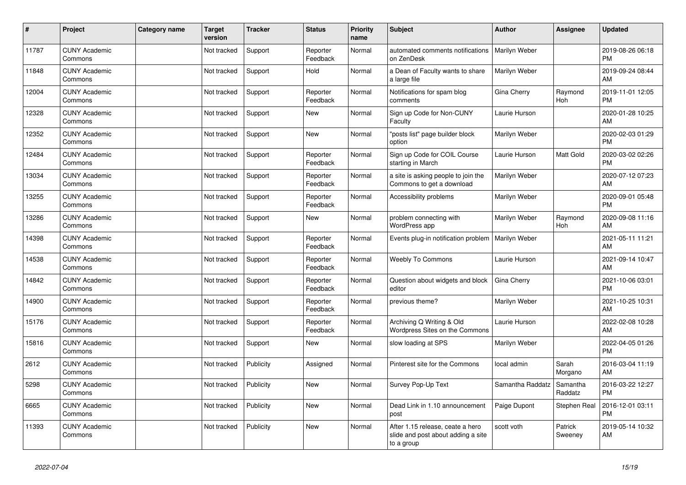| #     | Project                         | <b>Category name</b> | <b>Target</b><br>version | <b>Tracker</b> | <b>Status</b>        | <b>Priority</b><br>name | Subject                                                                              | <b>Author</b>    | Assignee            | <b>Updated</b>                |
|-------|---------------------------------|----------------------|--------------------------|----------------|----------------------|-------------------------|--------------------------------------------------------------------------------------|------------------|---------------------|-------------------------------|
| 11787 | <b>CUNY Academic</b><br>Commons |                      | Not tracked              | Support        | Reporter<br>Feedback | Normal                  | automated comments notifications<br>on ZenDesk                                       | Marilyn Weber    |                     | 2019-08-26 06:18<br><b>PM</b> |
| 11848 | <b>CUNY Academic</b><br>Commons |                      | Not tracked              | Support        | Hold                 | Normal                  | a Dean of Faculty wants to share<br>a large file                                     | Marilyn Weber    |                     | 2019-09-24 08:44<br>AM        |
| 12004 | <b>CUNY Academic</b><br>Commons |                      | Not tracked              | Support        | Reporter<br>Feedback | Normal                  | Notifications for spam blog<br>comments                                              | Gina Cherry      | Raymond<br>Hoh      | 2019-11-01 12:05<br><b>PM</b> |
| 12328 | <b>CUNY Academic</b><br>Commons |                      | Not tracked              | Support        | <b>New</b>           | Normal                  | Sign up Code for Non-CUNY<br>Faculty                                                 | Laurie Hurson    |                     | 2020-01-28 10:25<br>AM        |
| 12352 | <b>CUNY Academic</b><br>Commons |                      | Not tracked              | Support        | <b>New</b>           | Normal                  | "posts list" page builder block<br>option                                            | Marilyn Weber    |                     | 2020-02-03 01:29<br><b>PM</b> |
| 12484 | <b>CUNY Academic</b><br>Commons |                      | Not tracked              | Support        | Reporter<br>Feedback | Normal                  | Sign up Code for COIL Course<br>starting in March                                    | Laurie Hurson    | Matt Gold           | 2020-03-02 02:26<br><b>PM</b> |
| 13034 | <b>CUNY Academic</b><br>Commons |                      | Not tracked              | Support        | Reporter<br>Feedback | Normal                  | a site is asking people to join the<br>Commons to get a download                     | Marilyn Weber    |                     | 2020-07-12 07:23<br>AM        |
| 13255 | <b>CUNY Academic</b><br>Commons |                      | Not tracked              | Support        | Reporter<br>Feedback | Normal                  | Accessibility problems                                                               | Marilyn Weber    |                     | 2020-09-01 05:48<br><b>PM</b> |
| 13286 | <b>CUNY Academic</b><br>Commons |                      | Not tracked              | Support        | <b>New</b>           | Normal                  | problem connecting with<br>WordPress app                                             | Marilyn Weber    | Raymond<br>Hoh      | 2020-09-08 11:16<br>AM        |
| 14398 | <b>CUNY Academic</b><br>Commons |                      | Not tracked              | Support        | Reporter<br>Feedback | Normal                  | Events plug-in notification problem   Marilyn Weber                                  |                  |                     | 2021-05-11 11:21<br>AM        |
| 14538 | <b>CUNY Academic</b><br>Commons |                      | Not tracked              | Support        | Reporter<br>Feedback | Normal                  | <b>Weebly To Commons</b>                                                             | Laurie Hurson    |                     | 2021-09-14 10:47<br>AM        |
| 14842 | <b>CUNY Academic</b><br>Commons |                      | Not tracked              | Support        | Reporter<br>Feedback | Normal                  | Question about widgets and block<br>editor                                           | Gina Cherry      |                     | 2021-10-06 03:01<br><b>PM</b> |
| 14900 | <b>CUNY Academic</b><br>Commons |                      | Not tracked              | Support        | Reporter<br>Feedback | Normal                  | previous theme?                                                                      | Marilyn Weber    |                     | 2021-10-25 10:31<br>AM        |
| 15176 | <b>CUNY Academic</b><br>Commons |                      | Not tracked              | Support        | Reporter<br>Feedback | Normal                  | Archiving Q Writing & Old<br>Wordpress Sites on the Commons                          | Laurie Hurson    |                     | 2022-02-08 10:28<br>AM        |
| 15816 | <b>CUNY Academic</b><br>Commons |                      | Not tracked              | Support        | <b>New</b>           | Normal                  | slow loading at SPS                                                                  | Marilyn Weber    |                     | 2022-04-05 01:26<br><b>PM</b> |
| 2612  | <b>CUNY Academic</b><br>Commons |                      | Not tracked              | Publicity      | Assigned             | Normal                  | Pinterest site for the Commons                                                       | local admin      | Sarah<br>Morgano    | 2016-03-04 11:19<br>AM        |
| 5298  | <b>CUNY Academic</b><br>Commons |                      | Not tracked              | Publicity      | <b>New</b>           | Normal                  | Survey Pop-Up Text                                                                   | Samantha Raddatz | Samantha<br>Raddatz | 2016-03-22 12:27<br><b>PM</b> |
| 6665  | <b>CUNY Academic</b><br>Commons |                      | Not tracked              | Publicity      | <b>New</b>           | Normal                  | Dead Link in 1.10 announcement<br>post                                               | Paige Dupont     | Stephen Real        | 2016-12-01 03:11<br><b>PM</b> |
| 11393 | <b>CUNY Academic</b><br>Commons |                      | Not tracked              | Publicity      | <b>New</b>           | Normal                  | After 1.15 release, ceate a hero<br>slide and post about adding a site<br>to a group | scott voth       | Patrick<br>Sweeney  | 2019-05-14 10:32<br>AM        |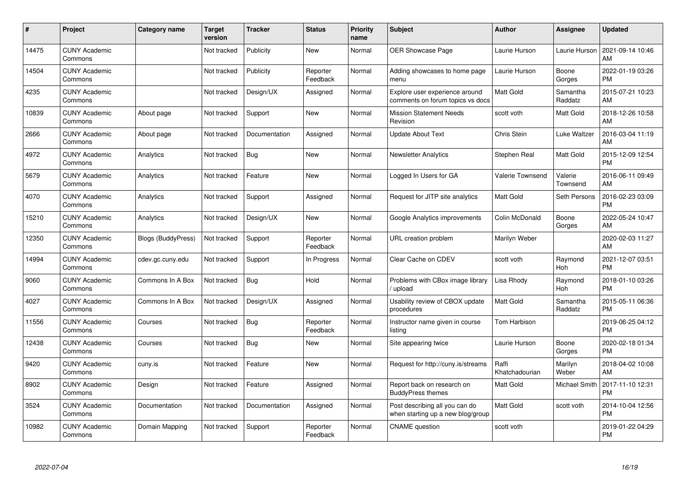| #     | Project                         | <b>Category name</b>      | <b>Target</b><br>version | <b>Tracker</b> | <b>Status</b>        | <b>Priority</b><br>name | <b>Subject</b>                                                      | <b>Author</b>           | <b>Assignee</b>     | <b>Updated</b>                |
|-------|---------------------------------|---------------------------|--------------------------|----------------|----------------------|-------------------------|---------------------------------------------------------------------|-------------------------|---------------------|-------------------------------|
| 14475 | <b>CUNY Academic</b><br>Commons |                           | Not tracked              | Publicity      | <b>New</b>           | Normal                  | <b>OER Showcase Page</b>                                            | Laurie Hurson           | Laurie Hurson       | 2021-09-14 10:46<br>AM        |
| 14504 | <b>CUNY Academic</b><br>Commons |                           | Not tracked              | Publicity      | Reporter<br>Feedback | Normal                  | Adding showcases to home page<br>menu                               | Laurie Hurson           | Boone<br>Gorges     | 2022-01-19 03:26<br><b>PM</b> |
| 4235  | <b>CUNY Academic</b><br>Commons |                           | Not tracked              | Design/UX      | Assigned             | Normal                  | Explore user experience around<br>comments on forum topics vs docs  | <b>Matt Gold</b>        | Samantha<br>Raddatz | 2015-07-21 10:23<br>AM        |
| 10839 | <b>CUNY Academic</b><br>Commons | About page                | Not tracked              | Support        | <b>New</b>           | Normal                  | <b>Mission Statement Needs</b><br>Revision                          | scott voth              | Matt Gold           | 2018-12-26 10:58<br>AM        |
| 2666  | <b>CUNY Academic</b><br>Commons | About page                | Not tracked              | Documentation  | Assigned             | Normal                  | <b>Update About Text</b>                                            | Chris Stein             | Luke Waltzer        | 2016-03-04 11:19<br>AM        |
| 4972  | <b>CUNY Academic</b><br>Commons | Analytics                 | Not tracked              | Bug            | <b>New</b>           | Normal                  | <b>Newsletter Analytics</b>                                         | Stephen Real            | Matt Gold           | 2015-12-09 12:54<br><b>PM</b> |
| 5679  | <b>CUNY Academic</b><br>Commons | Analytics                 | Not tracked              | Feature        | New                  | Normal                  | Logged In Users for GA                                              | Valerie Townsend        | Valerie<br>Townsend | 2016-06-11 09:49<br>AM        |
| 4070  | <b>CUNY Academic</b><br>Commons | Analytics                 | Not tracked              | Support        | Assigned             | Normal                  | Request for JITP site analytics                                     | <b>Matt Gold</b>        | Seth Persons        | 2016-02-23 03:09<br><b>PM</b> |
| 15210 | <b>CUNY Academic</b><br>Commons | Analytics                 | Not tracked              | Design/UX      | New                  | Normal                  | Google Analytics improvements                                       | Colin McDonald          | Boone<br>Gorges     | 2022-05-24 10:47<br>AM        |
| 12350 | <b>CUNY Academic</b><br>Commons | <b>Blogs (BuddyPress)</b> | Not tracked              | Support        | Reporter<br>Feedback | Normal                  | URL creation problem                                                | Marilyn Weber           |                     | 2020-02-03 11:27<br>AM        |
| 14994 | <b>CUNY Academic</b><br>Commons | cdev.gc.cuny.edu          | Not tracked              | Support        | In Progress          | Normal                  | Clear Cache on CDEV                                                 | scott voth              | Raymond<br>Hoh      | 2021-12-07 03:51<br><b>PM</b> |
| 9060  | <b>CUNY Academic</b><br>Commons | Commons In A Box          | Not tracked              | <b>Bug</b>     | Hold                 | Normal                  | Problems with CBox image library<br>upload                          | Lisa Rhody              | Raymond<br>Hoh      | 2018-01-10 03:26<br><b>PM</b> |
| 4027  | <b>CUNY Academic</b><br>Commons | Commons In A Box          | Not tracked              | Design/UX      | Assigned             | Normal                  | Usability review of CBOX update<br>procedures                       | <b>Matt Gold</b>        | Samantha<br>Raddatz | 2015-05-11 06:36<br><b>PM</b> |
| 11556 | <b>CUNY Academic</b><br>Commons | Courses                   | Not tracked              | <b>Bug</b>     | Reporter<br>Feedback | Normal                  | Instructor name given in course<br>listing                          | Tom Harbison            |                     | 2019-06-25 04:12<br><b>PM</b> |
| 12438 | <b>CUNY Academic</b><br>Commons | Courses                   | Not tracked              | Bug            | New                  | Normal                  | Site appearing twice                                                | Laurie Hurson           | Boone<br>Gorges     | 2020-02-18 01:34<br><b>PM</b> |
| 9420  | <b>CUNY Academic</b><br>Commons | cuny.is                   | Not tracked              | Feature        | New                  | Normal                  | Request for http://cuny.is/streams                                  | Raffi<br>Khatchadourian | Marilyn<br>Weber    | 2018-04-02 10:08<br>AM        |
| 8902  | <b>CUNY Academic</b><br>Commons | Design                    | Not tracked              | Feature        | Assigned             | Normal                  | Report back on research on<br><b>BuddyPress themes</b>              | Matt Gold               | Michael Smith       | 2017-11-10 12:31<br><b>PM</b> |
| 3524  | <b>CUNY Academic</b><br>Commons | Documentation             | Not tracked              | Documentation  | Assigned             | Normal                  | Post describing all you can do<br>when starting up a new blog/group | <b>Matt Gold</b>        | scott voth          | 2014-10-04 12:56<br><b>PM</b> |
| 10982 | <b>CUNY Academic</b><br>Commons | Domain Mapping            | Not tracked              | Support        | Reporter<br>Feedback | Normal                  | <b>CNAME</b> question                                               | scott voth              |                     | 2019-01-22 04:29<br><b>PM</b> |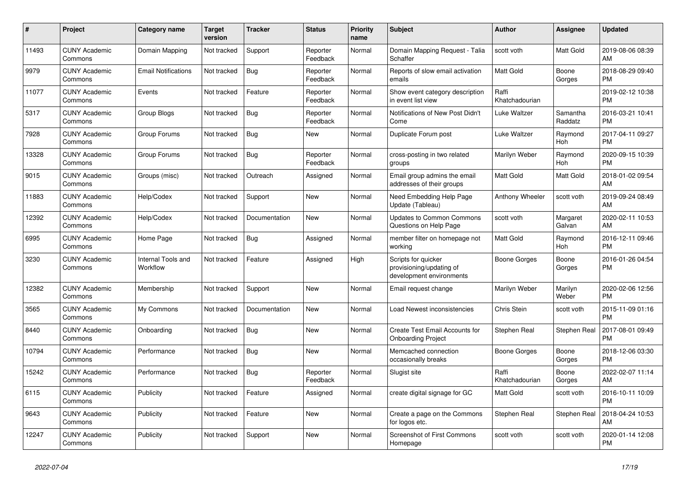| $\#$  | Project                         | <b>Category name</b>           | <b>Target</b><br>version | <b>Tracker</b> | <b>Status</b>        | Priority<br>name | <b>Subject</b>                                                              | <b>Author</b>           | <b>Assignee</b>     | <b>Updated</b>                |
|-------|---------------------------------|--------------------------------|--------------------------|----------------|----------------------|------------------|-----------------------------------------------------------------------------|-------------------------|---------------------|-------------------------------|
| 11493 | <b>CUNY Academic</b><br>Commons | Domain Mapping                 | Not tracked              | Support        | Reporter<br>Feedback | Normal           | Domain Mapping Request - Talia<br>Schaffer                                  | scott voth              | Matt Gold           | 2019-08-06 08:39<br>AM        |
| 9979  | <b>CUNY Academic</b><br>Commons | <b>Email Notifications</b>     | Not tracked              | Bug            | Reporter<br>Feedback | Normal           | Reports of slow email activation<br>emails                                  | <b>Matt Gold</b>        | Boone<br>Gorges     | 2018-08-29 09:40<br><b>PM</b> |
| 11077 | <b>CUNY Academic</b><br>Commons | Events                         | Not tracked              | Feature        | Reporter<br>Feedback | Normal           | Show event category description<br>in event list view                       | Raffi<br>Khatchadourian |                     | 2019-02-12 10:38<br><b>PM</b> |
| 5317  | <b>CUNY Academic</b><br>Commons | Group Blogs                    | Not tracked              | <b>Bug</b>     | Reporter<br>Feedback | Normal           | Notifications of New Post Didn't<br>Come                                    | Luke Waltzer            | Samantha<br>Raddatz | 2016-03-21 10:41<br><b>PM</b> |
| 7928  | <b>CUNY Academic</b><br>Commons | Group Forums                   | Not tracked              | Bug            | New                  | Normal           | Duplicate Forum post                                                        | Luke Waltzer            | Raymond<br>Hoh      | 2017-04-11 09:27<br><b>PM</b> |
| 13328 | <b>CUNY Academic</b><br>Commons | Group Forums                   | Not tracked              | Bug            | Reporter<br>Feedback | Normal           | cross-posting in two related<br>groups                                      | Marilyn Weber           | Raymond<br>Hoh      | 2020-09-15 10:39<br><b>PM</b> |
| 9015  | <b>CUNY Academic</b><br>Commons | Groups (misc)                  | Not tracked              | Outreach       | Assigned             | Normal           | Email group admins the email<br>addresses of their groups                   | <b>Matt Gold</b>        | Matt Gold           | 2018-01-02 09:54<br>AM        |
| 11883 | <b>CUNY Academic</b><br>Commons | Help/Codex                     | Not tracked              | Support        | New                  | Normal           | Need Embedding Help Page<br>Update (Tableau)                                | Anthony Wheeler         | scott voth          | 2019-09-24 08:49<br>AM        |
| 12392 | <b>CUNY Academic</b><br>Commons | Help/Codex                     | Not tracked              | Documentation  | <b>New</b>           | Normal           | <b>Updates to Common Commons</b><br>Questions on Help Page                  | scott voth              | Margaret<br>Galvan  | 2020-02-11 10:53<br>AM        |
| 6995  | <b>CUNY Academic</b><br>Commons | Home Page                      | Not tracked              | <b>Bug</b>     | Assigned             | Normal           | member filter on homepage not<br>workina                                    | <b>Matt Gold</b>        | Raymond<br>Hoh      | 2016-12-11 09:46<br><b>PM</b> |
| 3230  | <b>CUNY Academic</b><br>Commons | Internal Tools and<br>Workflow | Not tracked              | Feature        | Assigned             | High             | Scripts for quicker<br>provisioning/updating of<br>development environments | Boone Gorges            | Boone<br>Gorges     | 2016-01-26 04:54<br><b>PM</b> |
| 12382 | <b>CUNY Academic</b><br>Commons | Membership                     | Not tracked              | Support        | <b>New</b>           | Normal           | Email request change                                                        | Marilyn Weber           | Marilyn<br>Weber    | 2020-02-06 12:56<br><b>PM</b> |
| 3565  | <b>CUNY Academic</b><br>Commons | My Commons                     | Not tracked              | Documentation  | <b>New</b>           | Normal           | Load Newest inconsistencies                                                 | Chris Stein             | scott voth          | 2015-11-09 01:16<br><b>PM</b> |
| 8440  | <b>CUNY Academic</b><br>Commons | Onboarding                     | Not tracked              | <b>Bug</b>     | New                  | Normal           | Create Test Email Accounts for<br><b>Onboarding Project</b>                 | Stephen Real            | Stephen Real        | 2017-08-01 09:49<br><b>PM</b> |
| 10794 | <b>CUNY Academic</b><br>Commons | Performance                    | Not tracked              | <b>Bug</b>     | New                  | Normal           | Memcached connection<br>occasionally breaks                                 | <b>Boone Gorges</b>     | Boone<br>Gorges     | 2018-12-06 03:30<br><b>PM</b> |
| 15242 | <b>CUNY Academic</b><br>Commons | Performance                    | Not tracked              | Bug            | Reporter<br>Feedback | Normal           | Slugist site                                                                | Raffi<br>Khatchadourian | Boone<br>Gorges     | 2022-02-07 11:14<br>AM        |
| 6115  | <b>CUNY Academic</b><br>Commons | Publicity                      | Not tracked              | Feature        | Assigned             | Normal           | create digital signage for GC                                               | Matt Gold               | scott voth          | 2016-10-11 10:09<br><b>PM</b> |
| 9643  | <b>CUNY Academic</b><br>Commons | Publicity                      | Not tracked              | Feature        | New                  | Normal           | Create a page on the Commons<br>for logos etc.                              | Stephen Real            | Stephen Real        | 2018-04-24 10:53<br>AM        |
| 12247 | <b>CUNY Academic</b><br>Commons | Publicity                      | Not tracked              | Support        | <b>New</b>           | Normal           | <b>Screenshot of First Commons</b><br>Homepage                              | scott voth              | scott voth          | 2020-01-14 12:08<br><b>PM</b> |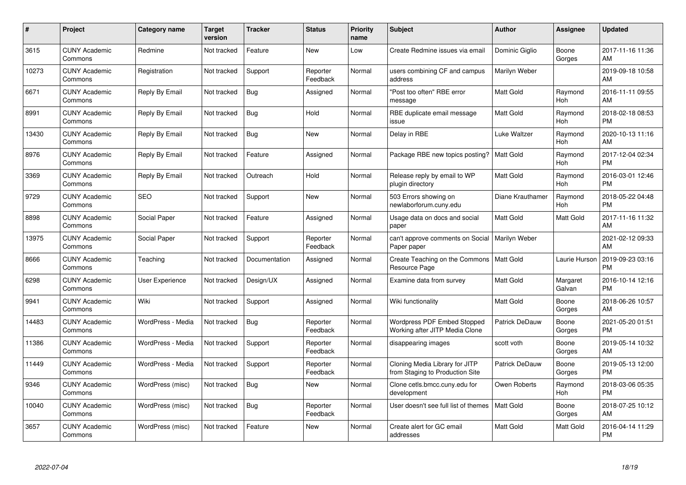| #     | Project                         | Category name     | <b>Target</b><br>version | <b>Tracker</b> | <b>Status</b>        | Priority<br>name | <b>Subject</b>                                                       | <b>Author</b>         | <b>Assignee</b>    | <b>Updated</b>                |
|-------|---------------------------------|-------------------|--------------------------|----------------|----------------------|------------------|----------------------------------------------------------------------|-----------------------|--------------------|-------------------------------|
| 3615  | <b>CUNY Academic</b><br>Commons | Redmine           | Not tracked              | Feature        | <b>New</b>           | Low              | Create Redmine issues via email                                      | Dominic Giglio        | Boone<br>Gorges    | 2017-11-16 11:36<br>AM        |
| 10273 | <b>CUNY Academic</b><br>Commons | Registration      | Not tracked              | Support        | Reporter<br>Feedback | Normal           | users combining CF and campus<br>address                             | Marilyn Weber         |                    | 2019-09-18 10:58<br>AM        |
| 6671  | <b>CUNY Academic</b><br>Commons | Reply By Email    | Not tracked              | Bug            | Assigned             | Normal           | "Post too often" RBE error<br>message                                | Matt Gold             | Raymond<br>Hoh     | 2016-11-11 09:55<br>AM        |
| 8991  | <b>CUNY Academic</b><br>Commons | Reply By Email    | Not tracked              | Bug            | Hold                 | Normal           | RBE duplicate email message<br>issue                                 | <b>Matt Gold</b>      | Raymond<br>Hoh     | 2018-02-18 08:53<br><b>PM</b> |
| 13430 | <b>CUNY Academic</b><br>Commons | Reply By Email    | Not tracked              | <b>Bug</b>     | <b>New</b>           | Normal           | Delay in RBE                                                         | Luke Waltzer          | Raymond<br>Hoh     | 2020-10-13 11:16<br>AM        |
| 8976  | <b>CUNY Academic</b><br>Commons | Reply By Email    | Not tracked              | Feature        | Assigned             | Normal           | Package RBE new topics posting?                                      | <b>Matt Gold</b>      | Raymond<br>Hoh     | 2017-12-04 02:34<br><b>PM</b> |
| 3369  | <b>CUNY Academic</b><br>Commons | Reply By Email    | Not tracked              | Outreach       | Hold                 | Normal           | Release reply by email to WP<br>plugin directory                     | Matt Gold             | Raymond<br>Hoh     | 2016-03-01 12:46<br><b>PM</b> |
| 9729  | <b>CUNY Academic</b><br>Commons | <b>SEO</b>        | Not tracked              | Support        | <b>New</b>           | Normal           | 503 Errors showing on<br>newlaborforum.cuny.edu                      | Diane Krauthamer      | Raymond<br>Hoh     | 2018-05-22 04:48<br><b>PM</b> |
| 8898  | <b>CUNY Academic</b><br>Commons | Social Paper      | Not tracked              | Feature        | Assigned             | Normal           | Usage data on docs and social<br>paper                               | Matt Gold             | Matt Gold          | 2017-11-16 11:32<br>AM        |
| 13975 | <b>CUNY Academic</b><br>Commons | Social Paper      | Not tracked              | Support        | Reporter<br>Feedback | Normal           | can't approve comments on Social<br>Paper paper                      | Marilyn Weber         |                    | 2021-02-12 09:33<br>AM        |
| 8666  | <b>CUNY Academic</b><br>Commons | Teaching          | Not tracked              | Documentation  | Assigned             | Normal           | Create Teaching on the Commons<br>Resource Page                      | <b>Matt Gold</b>      | Laurie Hurson      | 2019-09-23 03:16<br><b>PM</b> |
| 6298  | <b>CUNY Academic</b><br>Commons | User Experience   | Not tracked              | Design/UX      | Assigned             | Normal           | Examine data from survey                                             | Matt Gold             | Margaret<br>Galvan | 2016-10-14 12:16<br><b>PM</b> |
| 9941  | <b>CUNY Academic</b><br>Commons | Wiki              | Not tracked              | Support        | Assigned             | Normal           | Wiki functionality                                                   | Matt Gold             | Boone<br>Gorges    | 2018-06-26 10:57<br>AM        |
| 14483 | <b>CUNY Academic</b><br>Commons | WordPress - Media | Not tracked              | Bug            | Reporter<br>Feedback | Normal           | <b>Wordpress PDF Embed Stopped</b><br>Working after JITP Media Clone | Patrick DeDauw        | Boone<br>Gorges    | 2021-05-20 01:51<br><b>PM</b> |
| 11386 | <b>CUNY Academic</b><br>Commons | WordPress - Media | Not tracked              | Support        | Reporter<br>Feedback | Normal           | disappearing images                                                  | scott voth            | Boone<br>Gorges    | 2019-05-14 10:32<br>AM        |
| 11449 | <b>CUNY Academic</b><br>Commons | WordPress - Media | Not tracked              | Support        | Reporter<br>Feedback | Normal           | Cloning Media Library for JITP<br>from Staging to Production Site    | <b>Patrick DeDauw</b> | Boone<br>Gorges    | 2019-05-13 12:00<br><b>PM</b> |
| 9346  | <b>CUNY Academic</b><br>Commons | WordPress (misc)  | Not tracked              | Bug            | New                  | Normal           | Clone cetls.bmcc.cuny.edu for<br>development                         | Owen Roberts          | Raymond<br>Hoh     | 2018-03-06 05:35<br><b>PM</b> |
| 10040 | <b>CUNY Academic</b><br>Commons | WordPress (misc)  | Not tracked              | <b>Bug</b>     | Reporter<br>Feedback | Normal           | User doesn't see full list of themes                                 | <b>Matt Gold</b>      | Boone<br>Gorges    | 2018-07-25 10:12<br>AM        |
| 3657  | <b>CUNY Academic</b><br>Commons | WordPress (misc)  | Not tracked              | Feature        | <b>New</b>           | Normal           | Create alert for GC email<br>addresses                               | <b>Matt Gold</b>      | Matt Gold          | 2016-04-14 11:29<br><b>PM</b> |